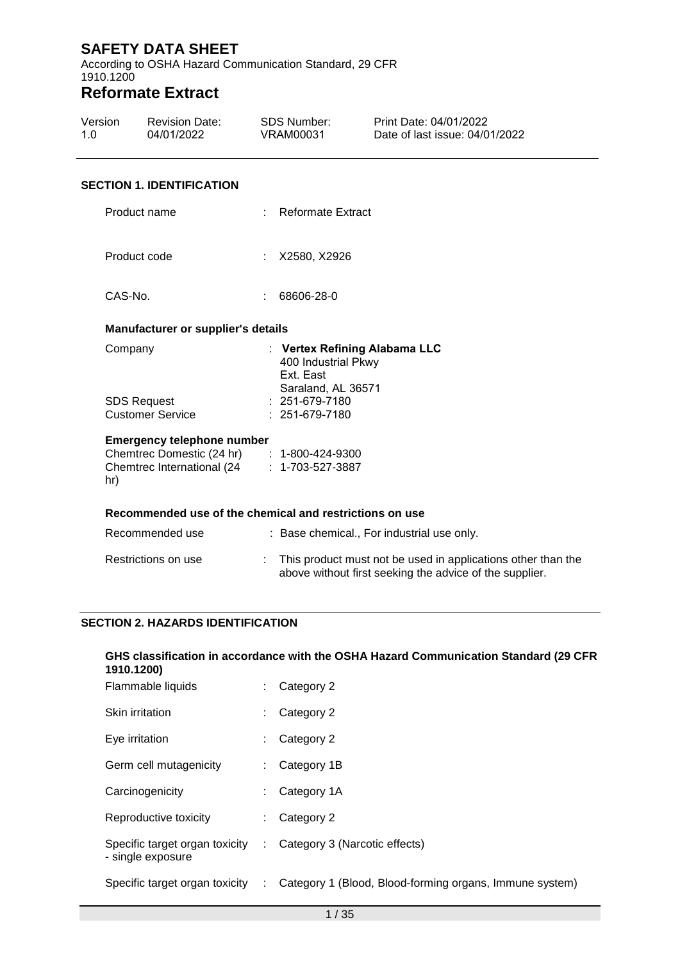According to OSHA Hazard Communication Standard, 29 CFR 1910.1200

# **Reformate Extract**

| Version | <b>Revision Date:</b> | SDS Number: | Print Date: 04/01/2022         |  |
|---------|-----------------------|-------------|--------------------------------|--|
| 1 O     | 04/01/2022            | VRAM00031   | Date of last issue: 04/01/2022 |  |

#### **SECTION 1. IDENTIFICATION**

| Product name                                                                                                                          | : Reformate Extract                                                                                                             |
|---------------------------------------------------------------------------------------------------------------------------------------|---------------------------------------------------------------------------------------------------------------------------------|
| Product code                                                                                                                          | : X2580, X2926                                                                                                                  |
| CAS-No.                                                                                                                               | 68606-28-0                                                                                                                      |
| <b>Manufacturer or supplier's details</b>                                                                                             |                                                                                                                                 |
| Company<br><b>SDS Request</b><br><b>Customer Service</b>                                                                              | : Vertex Refining Alabama LLC<br>400 Industrial Pkwy<br>Ext. East<br>Saraland, AL 36571<br>$: 251-679-7180$<br>$: 251-679-7180$ |
| <b>Emergency telephone number</b><br>Chemtrec Domestic (24 hr) : 1-800-424-9300<br>Chemtrec International (24 : 1-703-527-3887<br>hr) |                                                                                                                                 |
| Recommended use of the chemical and restrictions on use                                                                               |                                                                                                                                 |

| Recommended use     | : Base chemical., For industrial use only.                                                                                |
|---------------------|---------------------------------------------------------------------------------------------------------------------------|
| Restrictions on use | : This product must not be used in applications other than the<br>above without first seeking the advice of the supplier. |

### **SECTION 2. HAZARDS IDENTIFICATION**

#### **GHS classification in accordance with the OSHA Hazard Communication Standard (29 CFR 1910.1200)**

| Flammable liquids                                   |                | Category 2                                              |
|-----------------------------------------------------|----------------|---------------------------------------------------------|
| Skin irritation                                     |                | Category 2                                              |
| Eye irritation                                      |                | Category 2                                              |
| Germ cell mutagenicity                              |                | Category 1B                                             |
| Carcinogenicity                                     |                | Category 1A                                             |
| Reproductive toxicity                               |                | Category 2                                              |
| Specific target organ toxicity<br>- single exposure | $\sim 10^{-1}$ | Category 3 (Narcotic effects)                           |
| Specific target organ toxicity :                    |                | Category 1 (Blood, Blood-forming organs, Immune system) |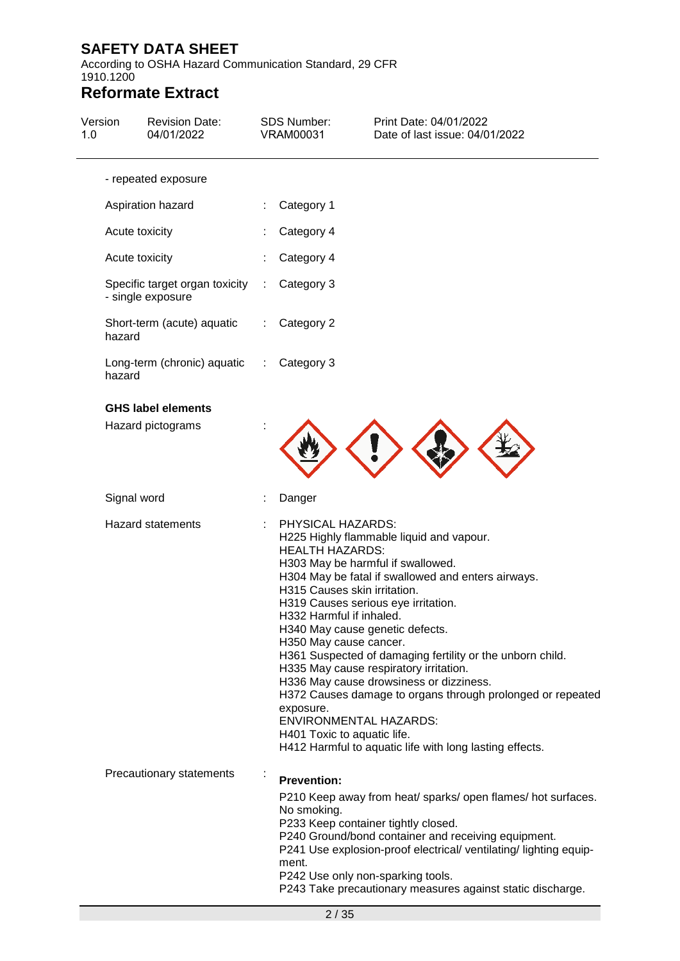According to OSHA Hazard Communication Standard, 29 CFR 1910.1200

| Version<br>1.0 | <b>Revision Date:</b><br>04/01/2022                 | <b>SDS Number:</b><br><b>VRAM00031</b>                   | Print Date: 04/01/2022<br>Date of last issue: 04/01/2022                                                                                                                                                                                                                                                                                                                                                                                                                                                                                                                                                                                       |
|----------------|-----------------------------------------------------|----------------------------------------------------------|------------------------------------------------------------------------------------------------------------------------------------------------------------------------------------------------------------------------------------------------------------------------------------------------------------------------------------------------------------------------------------------------------------------------------------------------------------------------------------------------------------------------------------------------------------------------------------------------------------------------------------------------|
|                | - repeated exposure                                 |                                                          |                                                                                                                                                                                                                                                                                                                                                                                                                                                                                                                                                                                                                                                |
|                | Aspiration hazard                                   | Category 1                                               |                                                                                                                                                                                                                                                                                                                                                                                                                                                                                                                                                                                                                                                |
|                | Acute toxicity                                      | Category 4                                               |                                                                                                                                                                                                                                                                                                                                                                                                                                                                                                                                                                                                                                                |
|                | Acute toxicity                                      | Category 4                                               |                                                                                                                                                                                                                                                                                                                                                                                                                                                                                                                                                                                                                                                |
|                | Specific target organ toxicity<br>- single exposure | Category 3<br>÷                                          |                                                                                                                                                                                                                                                                                                                                                                                                                                                                                                                                                                                                                                                |
|                | Short-term (acute) aquatic<br>hazard                | Category 2<br>÷.                                         |                                                                                                                                                                                                                                                                                                                                                                                                                                                                                                                                                                                                                                                |
|                | Long-term (chronic) aquatic<br>hazard               | Category 3<br>÷.                                         |                                                                                                                                                                                                                                                                                                                                                                                                                                                                                                                                                                                                                                                |
|                | <b>GHS label elements</b><br>Hazard pictograms      |                                                          |                                                                                                                                                                                                                                                                                                                                                                                                                                                                                                                                                                                                                                                |
|                | Signal word                                         | Danger                                                   |                                                                                                                                                                                                                                                                                                                                                                                                                                                                                                                                                                                                                                                |
|                | <b>Hazard statements</b>                            | PHYSICAL HAZARDS:<br><b>HEALTH HAZARDS:</b><br>exposure. | H225 Highly flammable liquid and vapour.<br>H303 May be harmful if swallowed.<br>H304 May be fatal if swallowed and enters airways.<br>H315 Causes skin irritation.<br>H319 Causes serious eye irritation.<br>H332 Harmful if inhaled.<br>H340 May cause genetic defects.<br>H350 May cause cancer.<br>H361 Suspected of damaging fertility or the unborn child.<br>H335 May cause respiratory irritation.<br>H336 May cause drowsiness or dizziness.<br>H372 Causes damage to organs through prolonged or repeated<br><b>ENVIRONMENTAL HAZARDS:</b><br>H401 Toxic to aquatic life.<br>H412 Harmful to aquatic life with long lasting effects. |
|                | Precautionary statements                            | <b>Prevention:</b><br>No smoking.<br>ment.               | P210 Keep away from heat/ sparks/ open flames/ hot surfaces.<br>P233 Keep container tightly closed.<br>P240 Ground/bond container and receiving equipment.<br>P241 Use explosion-proof electrical/ ventilating/ lighting equip-<br>P242 Use only non-sparking tools.<br>P243 Take precautionary measures against static discharge.                                                                                                                                                                                                                                                                                                             |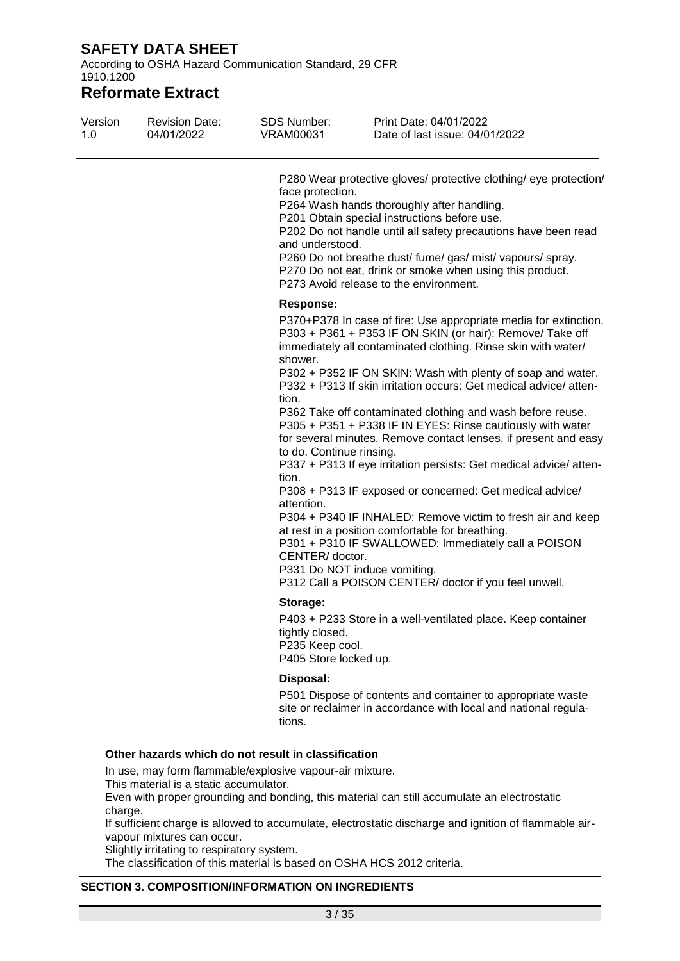According to OSHA Hazard Communication Standard, 29 CFR 1910.1200

## **Reformate Extract**

| Version<br>1.0 | <b>Revision Date:</b><br>04/01/2022 | <b>SDS Number:</b><br><b>VRAM00031</b>                                  | Print Date: 04/01/2022<br>Date of last issue: 04/01/2022                                                                                                                                                                                                                                                                                                                                                                                                                                                                         |
|----------------|-------------------------------------|-------------------------------------------------------------------------|----------------------------------------------------------------------------------------------------------------------------------------------------------------------------------------------------------------------------------------------------------------------------------------------------------------------------------------------------------------------------------------------------------------------------------------------------------------------------------------------------------------------------------|
|                |                                     | face protection.<br>and understood.                                     | P280 Wear protective gloves/ protective clothing/ eye protection/<br>P264 Wash hands thoroughly after handling.<br>P201 Obtain special instructions before use.<br>P202 Do not handle until all safety precautions have been read<br>P260 Do not breathe dust/ fume/ gas/ mist/ vapours/ spray.<br>P270 Do not eat, drink or smoke when using this product.<br>P273 Avoid release to the environment.                                                                                                                            |
|                |                                     | <b>Response:</b><br>shower.<br>tion.                                    | P370+P378 In case of fire: Use appropriate media for extinction.<br>P303 + P361 + P353 IF ON SKIN (or hair): Remove/ Take off<br>immediately all contaminated clothing. Rinse skin with water/<br>P302 + P352 IF ON SKIN: Wash with plenty of soap and water.<br>P332 + P313 If skin irritation occurs: Get medical advice/atten-<br>P362 Take off contaminated clothing and wash before reuse.<br>P305 + P351 + P338 IF IN EYES: Rinse cautiously with water<br>for several minutes. Remove contact lenses, if present and easy |
|                |                                     | to do. Continue rinsing.<br>tion.<br>attention.<br>CENTER/ doctor.      | P337 + P313 If eye irritation persists: Get medical advice/ atten-<br>P308 + P313 IF exposed or concerned: Get medical advice/<br>P304 + P340 IF INHALED: Remove victim to fresh air and keep<br>at rest in a position comfortable for breathing.<br>P301 + P310 IF SWALLOWED: Immediately call a POISON<br>P331 Do NOT induce vomiting.<br>P312 Call a POISON CENTER/ doctor if you feel unwell.                                                                                                                                |
|                |                                     | Storage:<br>tightly closed.<br>P235 Keep cool.<br>P405 Store locked up. | P403 + P233 Store in a well-ventilated place. Keep container                                                                                                                                                                                                                                                                                                                                                                                                                                                                     |
|                |                                     | Disposal:<br>tions.                                                     | P501 Dispose of contents and container to appropriate waste<br>site or reclaimer in accordance with local and national regula-                                                                                                                                                                                                                                                                                                                                                                                                   |
|                |                                     | Other hazards which do not result in classification                     |                                                                                                                                                                                                                                                                                                                                                                                                                                                                                                                                  |

In use, may form flammable/explosive vapour-air mixture.

This material is a static accumulator.

Even with proper grounding and bonding, this material can still accumulate an electrostatic charge.

If sufficient charge is allowed to accumulate, electrostatic discharge and ignition of flammable airvapour mixtures can occur.

Slightly irritating to respiratory system.

The classification of this material is based on OSHA HCS 2012 criteria.

#### **SECTION 3. COMPOSITION/INFORMATION ON INGREDIENTS**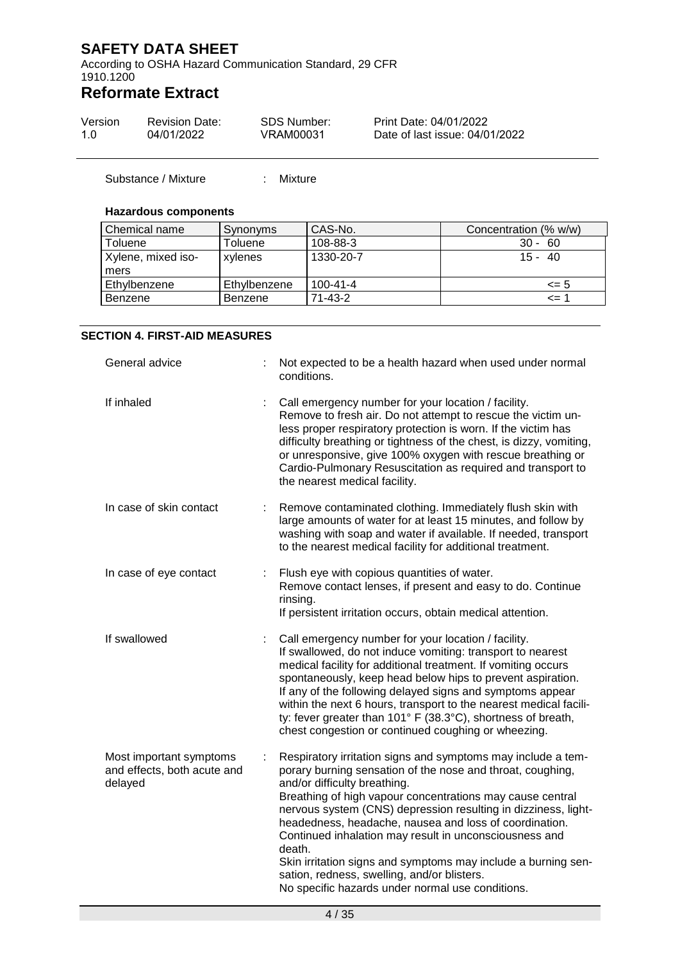According to OSHA Hazard Communication Standard, 29 CFR 1910.1200

## **Reformate Extract**

| Version | <b>Revision Date:</b> | SDS Number: | Print Date: 04/01/2022         |
|---------|-----------------------|-------------|--------------------------------|
| 1.0     | 04/01/2022            | VRAM00031   | Date of last issue: 04/01/2022 |

Substance / Mixture : Mixture

#### **Hazardous components**

| Chemical name      | Synonyms     | CAS-No.        | Concentration (% w/w) |
|--------------------|--------------|----------------|-----------------------|
| Toluene            | Toluene      | 108-88-3       | $30 -$<br>60          |
| Xylene, mixed iso- | xylenes      | 1330-20-7      | $15 -$<br>-40         |
| mers               |              |                |                       |
| Ethylbenzene       | Ethylbenzene | $100 - 41 - 4$ | $\leq$ 5              |
| Benzene            | Benzene      | 71-43-2        | $\leq$ 1              |

#### **SECTION 4. FIRST-AID MEASURES**

| General advice                                                    |   | Not expected to be a health hazard when used under normal<br>conditions.                                                                                                                                                                                                                                                                                                                                                                                                                                                                                                                    |
|-------------------------------------------------------------------|---|---------------------------------------------------------------------------------------------------------------------------------------------------------------------------------------------------------------------------------------------------------------------------------------------------------------------------------------------------------------------------------------------------------------------------------------------------------------------------------------------------------------------------------------------------------------------------------------------|
| If inhaled                                                        |   | Call emergency number for your location / facility.<br>Remove to fresh air. Do not attempt to rescue the victim un-<br>less proper respiratory protection is worn. If the victim has<br>difficulty breathing or tightness of the chest, is dizzy, vomiting,<br>or unresponsive, give 100% oxygen with rescue breathing or<br>Cardio-Pulmonary Resuscitation as required and transport to<br>the nearest medical facility.                                                                                                                                                                   |
| In case of skin contact                                           | ÷ | Remove contaminated clothing. Immediately flush skin with<br>large amounts of water for at least 15 minutes, and follow by<br>washing with soap and water if available. If needed, transport<br>to the nearest medical facility for additional treatment.                                                                                                                                                                                                                                                                                                                                   |
| In case of eye contact                                            |   | Flush eye with copious quantities of water.<br>Remove contact lenses, if present and easy to do. Continue<br>rinsing.<br>If persistent irritation occurs, obtain medical attention.                                                                                                                                                                                                                                                                                                                                                                                                         |
| If swallowed                                                      |   | Call emergency number for your location / facility.<br>If swallowed, do not induce vomiting: transport to nearest<br>medical facility for additional treatment. If vomiting occurs<br>spontaneously, keep head below hips to prevent aspiration.<br>If any of the following delayed signs and symptoms appear<br>within the next 6 hours, transport to the nearest medical facili-<br>ty: fever greater than 101° F (38.3°C), shortness of breath,<br>chest congestion or continued coughing or wheezing.                                                                                   |
| Most important symptoms<br>and effects, both acute and<br>delayed | ÷ | Respiratory irritation signs and symptoms may include a tem-<br>porary burning sensation of the nose and throat, coughing,<br>and/or difficulty breathing.<br>Breathing of high vapour concentrations may cause central<br>nervous system (CNS) depression resulting in dizziness, light-<br>headedness, headache, nausea and loss of coordination.<br>Continued inhalation may result in unconsciousness and<br>death.<br>Skin irritation signs and symptoms may include a burning sen-<br>sation, redness, swelling, and/or blisters.<br>No specific hazards under normal use conditions. |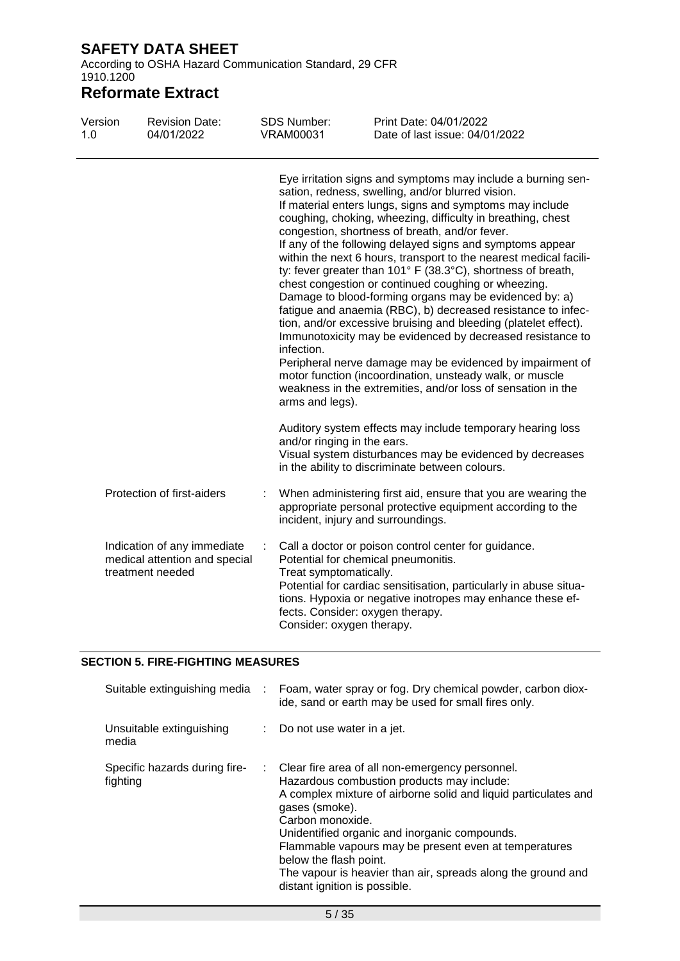According to OSHA Hazard Communication Standard, 29 CFR 1910.1200

## **Reformate Extract**

| Version<br>1.0 | <b>Revision Date:</b><br>04/01/2022                                              |   | <b>SDS Number:</b><br><b>VRAM00031</b>              | Print Date: 04/01/2022<br>Date of last issue: 04/01/2022                                                                                                                                                                                                                                                                                                                                                                                                                                                                                                                                                                                                                                                                                                                                                                                                                                                                                                                                                    |
|----------------|----------------------------------------------------------------------------------|---|-----------------------------------------------------|-------------------------------------------------------------------------------------------------------------------------------------------------------------------------------------------------------------------------------------------------------------------------------------------------------------------------------------------------------------------------------------------------------------------------------------------------------------------------------------------------------------------------------------------------------------------------------------------------------------------------------------------------------------------------------------------------------------------------------------------------------------------------------------------------------------------------------------------------------------------------------------------------------------------------------------------------------------------------------------------------------------|
|                |                                                                                  |   | infection.<br>arms and legs).                       | Eye irritation signs and symptoms may include a burning sen-<br>sation, redness, swelling, and/or blurred vision.<br>If material enters lungs, signs and symptoms may include<br>coughing, choking, wheezing, difficulty in breathing, chest<br>congestion, shortness of breath, and/or fever.<br>If any of the following delayed signs and symptoms appear<br>within the next 6 hours, transport to the nearest medical facili-<br>ty: fever greater than 101° F (38.3°C), shortness of breath,<br>chest congestion or continued coughing or wheezing.<br>Damage to blood-forming organs may be evidenced by: a)<br>fatigue and anaemia (RBC), b) decreased resistance to infec-<br>tion, and/or excessive bruising and bleeding (platelet effect).<br>Immunotoxicity may be evidenced by decreased resistance to<br>Peripheral nerve damage may be evidenced by impairment of<br>motor function (incoordination, unsteady walk, or muscle<br>weakness in the extremities, and/or loss of sensation in the |
|                |                                                                                  |   | and/or ringing in the ears.                         | Auditory system effects may include temporary hearing loss<br>Visual system disturbances may be evidenced by decreases<br>in the ability to discriminate between colours.                                                                                                                                                                                                                                                                                                                                                                                                                                                                                                                                                                                                                                                                                                                                                                                                                                   |
|                | Protection of first-aiders                                                       |   |                                                     | When administering first aid, ensure that you are wearing the<br>appropriate personal protective equipment according to the<br>incident, injury and surroundings.                                                                                                                                                                                                                                                                                                                                                                                                                                                                                                                                                                                                                                                                                                                                                                                                                                           |
|                | Indication of any immediate<br>medical attention and special<br>treatment needed | ÷ | Treat symptomatically.<br>Consider: oxygen therapy. | Call a doctor or poison control center for guidance.<br>Potential for chemical pneumonitis.<br>Potential for cardiac sensitisation, particularly in abuse situa-<br>tions. Hypoxia or negative inotropes may enhance these ef-<br>fects. Consider: oxygen therapy.                                                                                                                                                                                                                                                                                                                                                                                                                                                                                                                                                                                                                                                                                                                                          |

#### **SECTION 5. FIRE-FIGHTING MEASURES**

| Suitable extinguishing media :            | Foam, water spray or fog. Dry chemical powder, carbon diox-<br>ide, sand or earth may be used for small fires only.                                                                                                                                                                                                                                                                                                                           |
|-------------------------------------------|-----------------------------------------------------------------------------------------------------------------------------------------------------------------------------------------------------------------------------------------------------------------------------------------------------------------------------------------------------------------------------------------------------------------------------------------------|
| Unsuitable extinguishing<br>media         | $\therefore$ Do not use water in a jet.                                                                                                                                                                                                                                                                                                                                                                                                       |
| Specific hazards during fire-<br>fighting | : Clear fire area of all non-emergency personnel.<br>Hazardous combustion products may include:<br>A complex mixture of airborne solid and liquid particulates and<br>gases (smoke).<br>Carbon monoxide.<br>Unidentified organic and inorganic compounds.<br>Flammable vapours may be present even at temperatures<br>below the flash point.<br>The vapour is heavier than air, spreads along the ground and<br>distant ignition is possible. |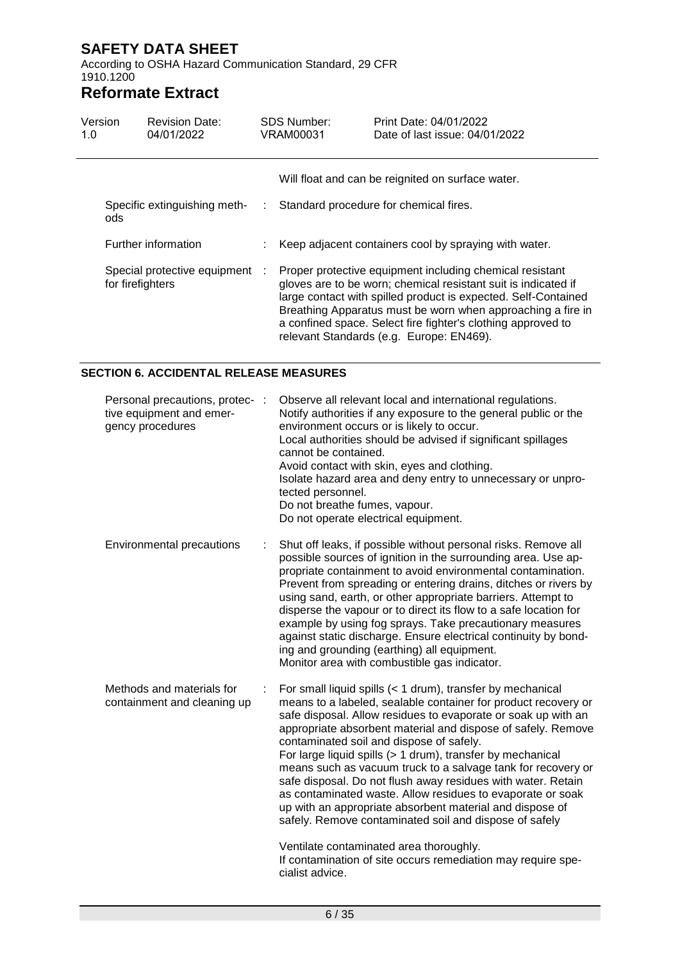According to OSHA Hazard Communication Standard, 29 CFR 1910.1200

## **Reformate Extract**

| Version<br>1.0                      | <b>Revision Date:</b><br>04/01/2022                |   | <b>SDS Number:</b><br>VRAM00031 | Print Date: 04/01/2022<br>Date of last issue: 04/01/2022                                                                                                                                                                                                                                                                                                                |
|-------------------------------------|----------------------------------------------------|---|---------------------------------|-------------------------------------------------------------------------------------------------------------------------------------------------------------------------------------------------------------------------------------------------------------------------------------------------------------------------------------------------------------------------|
|                                     |                                                    |   |                                 | Will float and can be reignited on surface water.                                                                                                                                                                                                                                                                                                                       |
| Specific extinguishing meth-<br>ods |                                                    | ÷ |                                 | Standard procedure for chemical fires.                                                                                                                                                                                                                                                                                                                                  |
|                                     | Further information                                |   |                                 | Keep adjacent containers cool by spraying with water.                                                                                                                                                                                                                                                                                                                   |
|                                     | Special protective equipment :<br>for firefighters |   |                                 | Proper protective equipment including chemical resistant<br>gloves are to be worn; chemical resistant suit is indicated if<br>large contact with spilled product is expected. Self-Contained<br>Breathing Apparatus must be worn when approaching a fire in<br>a confined space. Select fire fighter's clothing approved to<br>relevant Standards (e.g. Europe: EN469). |

#### **SECTION 6. ACCIDENTAL RELEASE MEASURES**

| Personal precautions, protec-<br>tive equipment and emer-<br>gency procedures | Observe all relevant local and international regulations.<br>Notify authorities if any exposure to the general public or the<br>environment occurs or is likely to occur.<br>Local authorities should be advised if significant spillages<br>cannot be contained.<br>Avoid contact with skin, eyes and clothing.<br>Isolate hazard area and deny entry to unnecessary or unpro-<br>tected personnel.<br>Do not breathe fumes, vapour.<br>Do not operate electrical equipment.                                                                                                                                                                                                                                                                                                                                             |  |
|-------------------------------------------------------------------------------|---------------------------------------------------------------------------------------------------------------------------------------------------------------------------------------------------------------------------------------------------------------------------------------------------------------------------------------------------------------------------------------------------------------------------------------------------------------------------------------------------------------------------------------------------------------------------------------------------------------------------------------------------------------------------------------------------------------------------------------------------------------------------------------------------------------------------|--|
| <b>Environmental precautions</b>                                              | Shut off leaks, if possible without personal risks. Remove all<br>possible sources of ignition in the surrounding area. Use ap-<br>propriate containment to avoid environmental contamination.<br>Prevent from spreading or entering drains, ditches or rivers by<br>using sand, earth, or other appropriate barriers. Attempt to<br>disperse the vapour or to direct its flow to a safe location for<br>example by using fog sprays. Take precautionary measures<br>against static discharge. Ensure electrical continuity by bond-<br>ing and grounding (earthing) all equipment.<br>Monitor area with combustible gas indicator.                                                                                                                                                                                       |  |
| Methods and materials for<br>containment and cleaning up                      | For small liquid spills (< 1 drum), transfer by mechanical<br>means to a labeled, sealable container for product recovery or<br>safe disposal. Allow residues to evaporate or soak up with an<br>appropriate absorbent material and dispose of safely. Remove<br>contaminated soil and dispose of safely.<br>For large liquid spills (> 1 drum), transfer by mechanical<br>means such as vacuum truck to a salvage tank for recovery or<br>safe disposal. Do not flush away residues with water. Retain<br>as contaminated waste. Allow residues to evaporate or soak<br>up with an appropriate absorbent material and dispose of<br>safely. Remove contaminated soil and dispose of safely<br>Ventilate contaminated area thoroughly.<br>If contamination of site occurs remediation may require spe-<br>cialist advice. |  |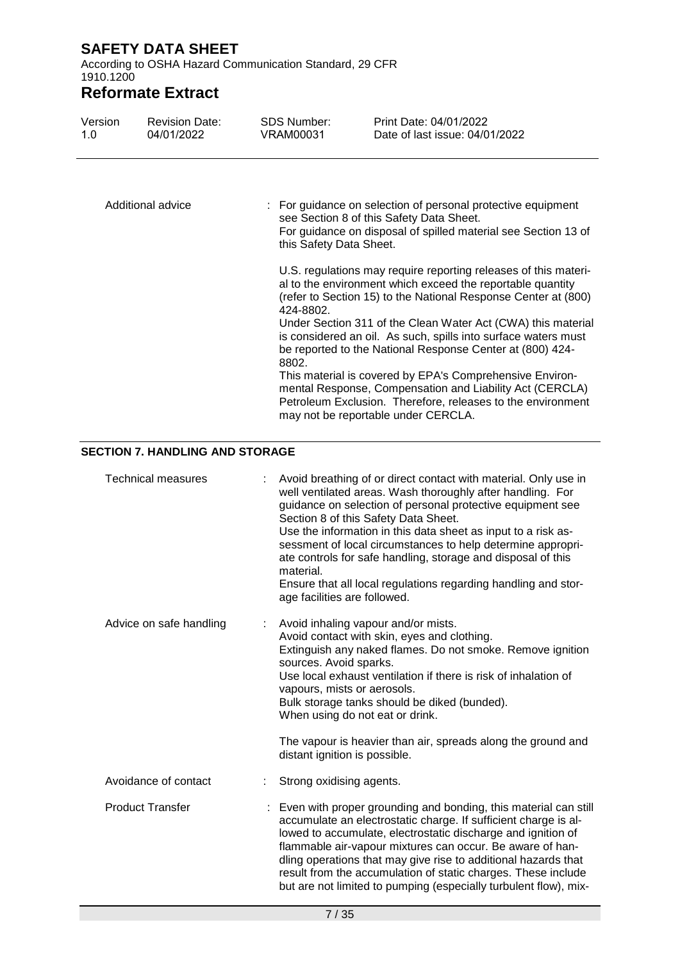According to OSHA Hazard Communication Standard, 29 CFR 1910.1200

# **Reformate Extract**

| Version<br>1.0          | <b>Revision Date:</b><br>04/01/2022    | SDS Number:<br><b>VRAM00031</b>                       | Print Date: 04/01/2022<br>Date of last issue: 04/01/2022                                                                                                                                                                                                                                                                                                                                                                                                                                                                                                                                                                     |  |  |  |  |  |
|-------------------------|----------------------------------------|-------------------------------------------------------|------------------------------------------------------------------------------------------------------------------------------------------------------------------------------------------------------------------------------------------------------------------------------------------------------------------------------------------------------------------------------------------------------------------------------------------------------------------------------------------------------------------------------------------------------------------------------------------------------------------------------|--|--|--|--|--|
| Additional advice       |                                        |                                                       | For guidance on selection of personal protective equipment<br>see Section 8 of this Safety Data Sheet.<br>For guidance on disposal of spilled material see Section 13 of<br>this Safety Data Sheet.                                                                                                                                                                                                                                                                                                                                                                                                                          |  |  |  |  |  |
|                         |                                        | 424-8802.<br>8802.                                    | U.S. regulations may require reporting releases of this materi-<br>al to the environment which exceed the reportable quantity<br>(refer to Section 15) to the National Response Center at (800)<br>Under Section 311 of the Clean Water Act (CWA) this material<br>is considered an oil. As such, spills into surface waters must<br>be reported to the National Response Center at (800) 424-<br>This material is covered by EPA's Comprehensive Environ-<br>mental Response, Compensation and Liability Act (CERCLA)<br>Petroleum Exclusion. Therefore, releases to the environment<br>may not be reportable under CERCLA. |  |  |  |  |  |
|                         | <b>SECTION 7. HANDLING AND STORAGE</b> |                                                       |                                                                                                                                                                                                                                                                                                                                                                                                                                                                                                                                                                                                                              |  |  |  |  |  |
|                         | <b>Technical measures</b>              | material.<br>age facilities are followed.             | Avoid breathing of or direct contact with material. Only use in<br>well ventilated areas. Wash thoroughly after handling. For<br>guidance on selection of personal protective equipment see<br>Section 8 of this Safety Data Sheet.<br>Use the information in this data sheet as input to a risk as-<br>sessment of local circumstances to help determine appropri-<br>ate controls for safe handling, storage and disposal of this<br>Ensure that all local regulations regarding handling and stor-                                                                                                                        |  |  |  |  |  |
| Advice on safe handling |                                        | sources. Avoid sparks.<br>vapours, mists or aerosols. | Avoid inhaling vapour and/or mists.<br>Avoid contact with skin, eyes and clothing.<br>Extinguish any naked flames. Do not smoke. Remove ignition<br>Use local exhaust ventilation if there is risk of inhalation of<br>Bulk storage tanks should be diked (bunded).<br>When using do not eat or drink.<br>The vapour is heavier than air, spreads along the ground and                                                                                                                                                                                                                                                       |  |  |  |  |  |
|                         |                                        | distant ignition is possible.                         |                                                                                                                                                                                                                                                                                                                                                                                                                                                                                                                                                                                                                              |  |  |  |  |  |
|                         | Avoidance of contact                   | Strong oxidising agents.                              |                                                                                                                                                                                                                                                                                                                                                                                                                                                                                                                                                                                                                              |  |  |  |  |  |
|                         | <b>Product Transfer</b>                |                                                       | Even with proper grounding and bonding, this material can still<br>accumulate an electrostatic charge. If sufficient charge is al-<br>lowed to accumulate, electrostatic discharge and ignition of<br>flammable air-vapour mixtures can occur. Be aware of han-<br>dling operations that may give rise to additional hazards that<br>result from the accumulation of static charges. These include                                                                                                                                                                                                                           |  |  |  |  |  |

but are not limited to pumping (especially turbulent flow), mix-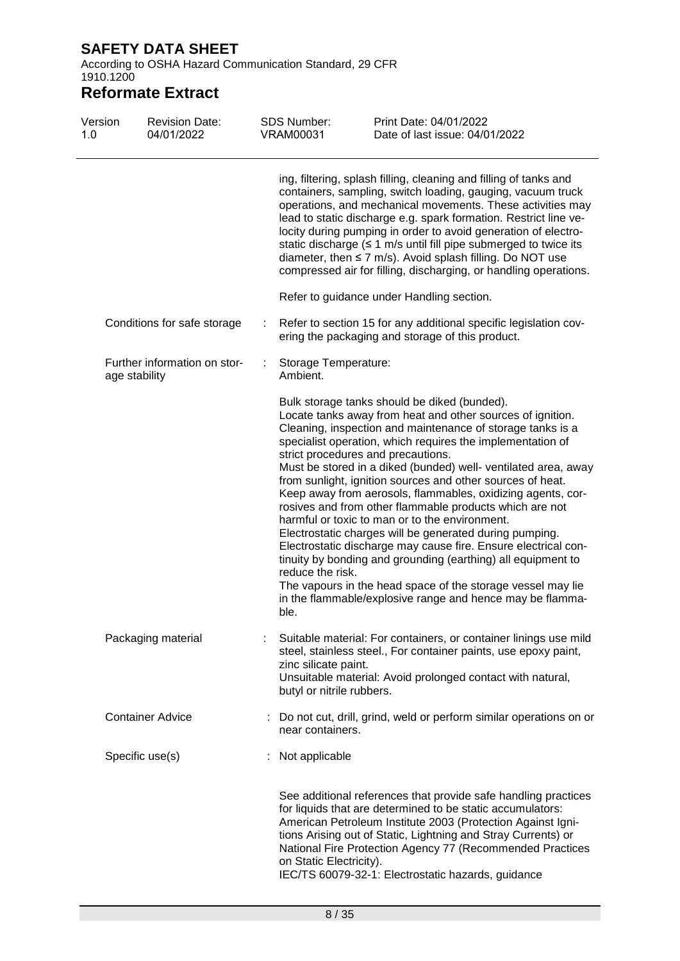According to OSHA Hazard Communication Standard, 29 CFR 1910.1200

| Version<br>1.0 | <b>Revision Date:</b><br>04/01/2022           |  | <b>SDS Number:</b><br><b>VRAM00031</b>            | Print Date: 04/01/2022<br>Date of last issue: 04/01/2022                                                                                                                                                                                                                                                                                                                                                                                                                                                                                                                                                                                                                                                                                                                                                                                                                                                          |
|----------------|-----------------------------------------------|--|---------------------------------------------------|-------------------------------------------------------------------------------------------------------------------------------------------------------------------------------------------------------------------------------------------------------------------------------------------------------------------------------------------------------------------------------------------------------------------------------------------------------------------------------------------------------------------------------------------------------------------------------------------------------------------------------------------------------------------------------------------------------------------------------------------------------------------------------------------------------------------------------------------------------------------------------------------------------------------|
|                |                                               |  |                                                   | ing, filtering, splash filling, cleaning and filling of tanks and<br>containers, sampling, switch loading, gauging, vacuum truck<br>operations, and mechanical movements. These activities may<br>lead to static discharge e.g. spark formation. Restrict line ve-<br>locity during pumping in order to avoid generation of electro-<br>static discharge $(≤ 1$ m/s until fill pipe submerged to twice its<br>diameter, then $\leq$ 7 m/s). Avoid splash filling. Do NOT use<br>compressed air for filling, discharging, or handling operations.                                                                                                                                                                                                                                                                                                                                                                  |
|                |                                               |  |                                                   | Refer to guidance under Handling section.                                                                                                                                                                                                                                                                                                                                                                                                                                                                                                                                                                                                                                                                                                                                                                                                                                                                         |
|                | Conditions for safe storage                   |  |                                                   | Refer to section 15 for any additional specific legislation cov-<br>ering the packaging and storage of this product.                                                                                                                                                                                                                                                                                                                                                                                                                                                                                                                                                                                                                                                                                                                                                                                              |
|                | Further information on stor-<br>age stability |  | Storage Temperature:<br>Ambient.                  |                                                                                                                                                                                                                                                                                                                                                                                                                                                                                                                                                                                                                                                                                                                                                                                                                                                                                                                   |
|                |                                               |  | reduce the risk.<br>ble.                          | Bulk storage tanks should be diked (bunded).<br>Locate tanks away from heat and other sources of ignition.<br>Cleaning, inspection and maintenance of storage tanks is a<br>specialist operation, which requires the implementation of<br>strict procedures and precautions.<br>Must be stored in a diked (bunded) well- ventilated area, away<br>from sunlight, ignition sources and other sources of heat.<br>Keep away from aerosols, flammables, oxidizing agents, cor-<br>rosives and from other flammable products which are not<br>harmful or toxic to man or to the environment.<br>Electrostatic charges will be generated during pumping.<br>Electrostatic discharge may cause fire. Ensure electrical con-<br>tinuity by bonding and grounding (earthing) all equipment to<br>The vapours in the head space of the storage vessel may lie<br>in the flammable/explosive range and hence may be flamma- |
|                | Packaging material                            |  | zinc silicate paint.<br>butyl or nitrile rubbers. | Suitable material: For containers, or container linings use mild<br>steel, stainless steel., For container paints, use epoxy paint,<br>Unsuitable material: Avoid prolonged contact with natural,                                                                                                                                                                                                                                                                                                                                                                                                                                                                                                                                                                                                                                                                                                                 |
|                | <b>Container Advice</b>                       |  | near containers.                                  | Do not cut, drill, grind, weld or perform similar operations on or                                                                                                                                                                                                                                                                                                                                                                                                                                                                                                                                                                                                                                                                                                                                                                                                                                                |
|                | Specific use(s)                               |  | Not applicable                                    |                                                                                                                                                                                                                                                                                                                                                                                                                                                                                                                                                                                                                                                                                                                                                                                                                                                                                                                   |
|                |                                               |  | on Static Electricity).                           | See additional references that provide safe handling practices<br>for liquids that are determined to be static accumulators:<br>American Petroleum Institute 2003 (Protection Against Igni-<br>tions Arising out of Static, Lightning and Stray Currents) or<br>National Fire Protection Agency 77 (Recommended Practices<br>IEC/TS 60079-32-1: Electrostatic hazards, guidance                                                                                                                                                                                                                                                                                                                                                                                                                                                                                                                                   |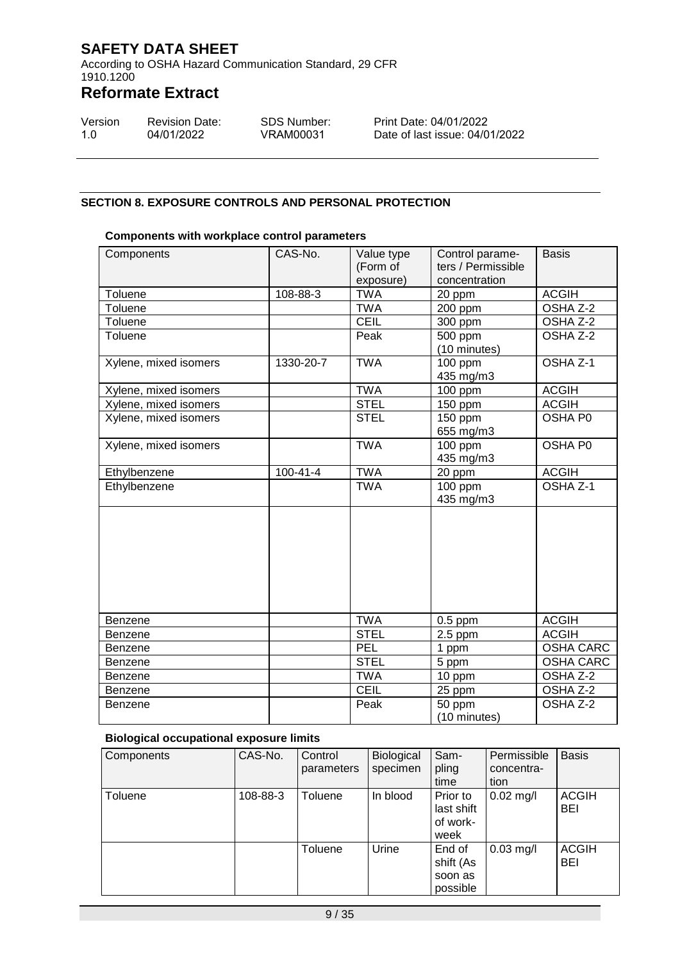According to OSHA Hazard Communication Standard, 29 CFR 1910.1200

# **Reformate Extract**

| Version | <b>Revision Date:</b> | <b>SDS Number:</b> |
|---------|-----------------------|--------------------|
| 1.O     | 04/01/2022            | VRAM00031          |

Print Date: 04/01/2022 Date of last issue: 04/01/2022

#### **SECTION 8. EXPOSURE CONTROLS AND PERSONAL PROTECTION**

#### **Components with workplace control parameters**

| Components            | CAS-No.        | Value type<br>(Form of<br>exposure) | Control parame-<br>ters / Permissible<br>concentration |                     |
|-----------------------|----------------|-------------------------------------|--------------------------------------------------------|---------------------|
| Toluene               | 108-88-3       | <b>TWA</b>                          | 20 ppm                                                 | <b>ACGIH</b>        |
| Toluene               |                | <b>TWA</b>                          | 200 ppm                                                | OSHA Z-2            |
| Toluene               |                | <b>CEIL</b>                         | 300 ppm                                                | OSHA Z-2            |
| Toluene               |                | Peak                                | 500 ppm<br>(10 minutes)                                | OSHA <sub>Z-2</sub> |
| Xylene, mixed isomers | 1330-20-7      | <b>TWA</b>                          | 100 ppm<br>435 mg/m3                                   | OSHA Z-1            |
| Xylene, mixed isomers |                | <b>TWA</b>                          | 100 ppm                                                | <b>ACGIH</b>        |
| Xylene, mixed isomers |                | <b>STEL</b>                         | 150 ppm                                                | <b>ACGIH</b>        |
| Xylene, mixed isomers |                | <b>STEL</b>                         | 150 ppm<br>655 mg/m3                                   | OSHA P0             |
| Xylene, mixed isomers |                | <b>TWA</b>                          | 100 ppm<br>435 mg/m3                                   | OSHA P0             |
| Ethylbenzene          | $100 - 41 - 4$ | <b>TWA</b>                          | 20 ppm                                                 | <b>ACGIH</b>        |
| Ethylbenzene          |                | <b>TWA</b>                          | 100 ppm<br>435 mg/m3                                   | OSHA <sub>Z-1</sub> |
|                       |                |                                     |                                                        |                     |
| Benzene               |                | <b>TWA</b>                          | $0.5$ ppm                                              | <b>ACGIH</b>        |
| <b>Benzene</b>        |                | <b>STEL</b>                         | $2.5$ ppm                                              | <b>ACGIH</b>        |
| Benzene               |                | PEL                                 | 1 ppm                                                  | <b>OSHA CARC</b>    |
| <b>Benzene</b>        |                | <b>STEL</b>                         | 5 ppm                                                  | <b>OSHA CARC</b>    |
| <b>Benzene</b>        |                | <b>TWA</b>                          | $10$ ppm                                               | OSHA Z-2            |
| <b>Benzene</b>        |                | <b>CEIL</b>                         | 25 ppm                                                 | OSHA Z-2            |
| <b>Benzene</b>        |                | Peak                                | 50 ppm<br>(10 minutes)                                 | OSHA Z-2            |

#### **Biological occupational exposure limits**

| Components | CAS-No.  | Control<br>parameters | <b>Biological</b><br>specimen | Sam-<br>pling<br>time                      | Permissible<br>concentra-<br>tion | <b>Basis</b>        |
|------------|----------|-----------------------|-------------------------------|--------------------------------------------|-----------------------------------|---------------------|
| Toluene    | 108-88-3 | Toluene               | In blood                      | Prior to<br>last shift<br>of work-<br>week | $0.02$ mg/l                       | <b>ACGIH</b><br>BEI |
|            |          | Toluene               | Urine                         | End of<br>shift (As<br>soon as<br>possible | $0.03$ mg/l                       | <b>ACGIH</b><br>BEI |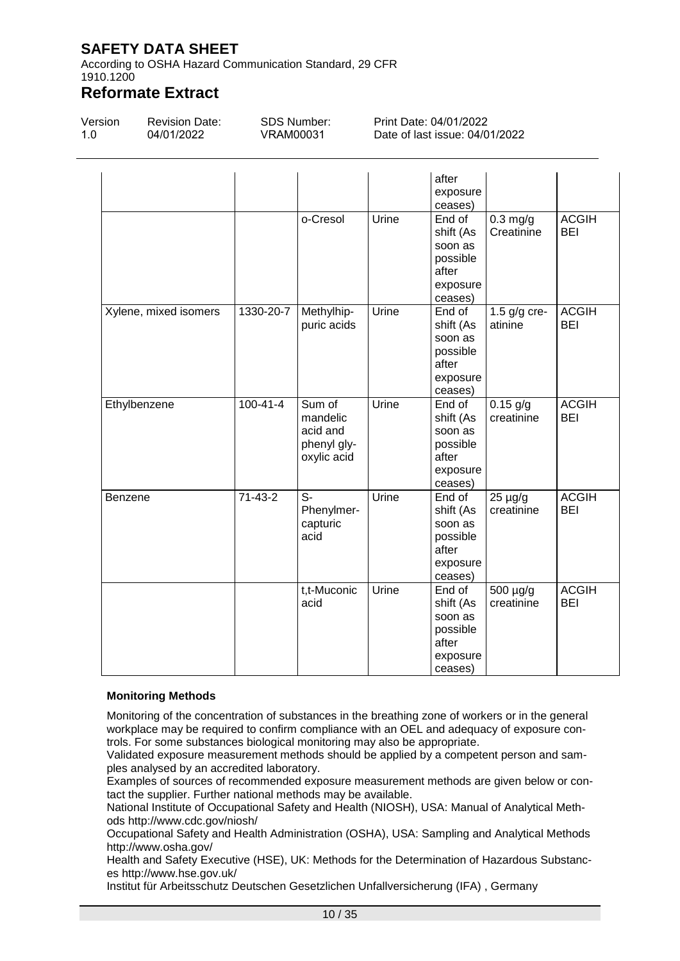According to OSHA Hazard Communication Standard, 29 CFR 1910.1200

## **Reformate Extract**

| Version | <b>Revision Date:</b> | SDS Number: | Print Date: 04/01/2022         |
|---------|-----------------------|-------------|--------------------------------|
| $-1.0$  | 04/01/2022            | VRAM00031   | Date of last issue: 04/01/2022 |

|                       |                |                                                              |       | after<br>exposure<br>ceases)                                               |                            |                            |
|-----------------------|----------------|--------------------------------------------------------------|-------|----------------------------------------------------------------------------|----------------------------|----------------------------|
|                       |                | o-Cresol                                                     | Urine | End of<br>shift (As<br>soon as<br>possible<br>after<br>exposure<br>ceases) | $0.3$ mg/g<br>Creatinine   | <b>ACGIH</b><br><b>BEI</b> |
| Xylene, mixed isomers | 1330-20-7      | Methylhip-<br>puric acids                                    | Urine | End of<br>shift (As<br>soon as<br>possible<br>after<br>exposure<br>ceases) | 1.5 $g/g$ cre-<br>atinine  | <b>ACGIH</b><br><b>BEI</b> |
| Ethylbenzene          | $100 - 41 - 4$ | Sum of<br>mandelic<br>acid and<br>phenyl gly-<br>oxylic acid | Urine | End of<br>shift (As<br>soon as<br>possible<br>after<br>exposure<br>ceases) | $0.15$ g/g<br>creatinine   | <b>ACGIH</b><br><b>BEI</b> |
| <b>Benzene</b>        | $71 - 43 - 2$  | S-<br>Phenylmer-<br>capturic<br>acid                         | Urine | End of<br>shift (As<br>soon as<br>possible<br>after<br>exposure<br>ceases) | $25 \mu g/g$<br>creatinine | <b>ACGIH</b><br>BEI        |
|                       |                | t,t-Muconic<br>acid                                          | Urine | End of<br>shift (As<br>soon as<br>possible<br>after<br>exposure<br>ceases) | 500 µg/g<br>creatinine     | <b>ACGIH</b><br><b>BEI</b> |

#### **Monitoring Methods**

Monitoring of the concentration of substances in the breathing zone of workers or in the general workplace may be required to confirm compliance with an OEL and adequacy of exposure controls. For some substances biological monitoring may also be appropriate.

Validated exposure measurement methods should be applied by a competent person and samples analysed by an accredited laboratory.

Examples of sources of recommended exposure measurement methods are given below or contact the supplier. Further national methods may be available.

National Institute of Occupational Safety and Health (NIOSH), USA: Manual of Analytical Methods http://www.cdc.gov/niosh/

Occupational Safety and Health Administration (OSHA), USA: Sampling and Analytical Methods http://www.osha.gov/

Health and Safety Executive (HSE), UK: Methods for the Determination of Hazardous Substances http://www.hse.gov.uk/

Institut für Arbeitsschutz Deutschen Gesetzlichen Unfallversicherung (IFA) , Germany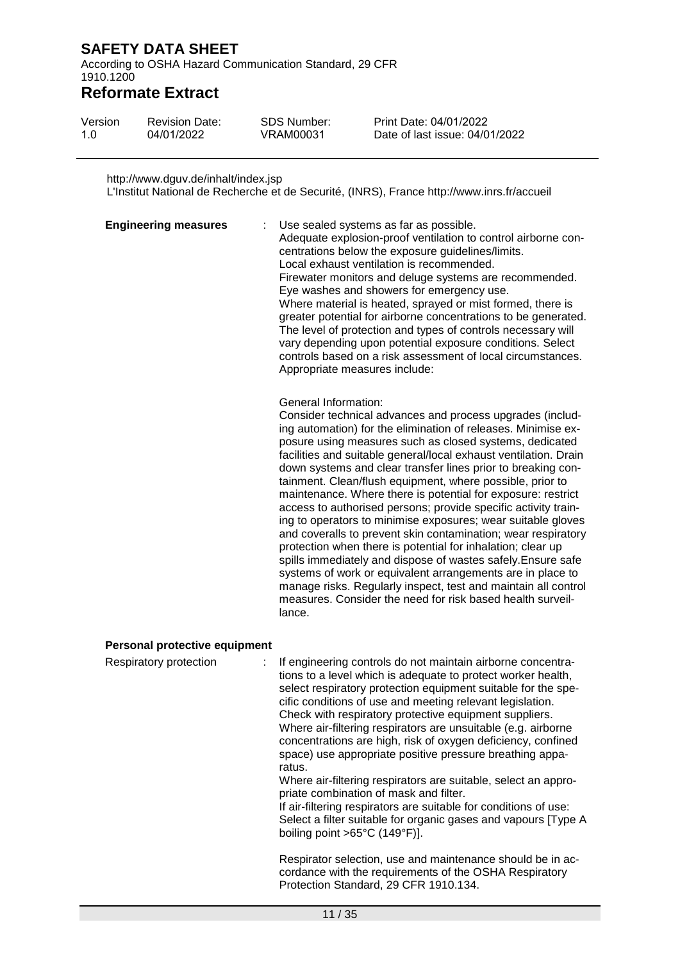According to OSHA Hazard Communication Standard, 29 CFR 1910.1200

### **Reformate Extract**

| Version | <b>Revision Date:</b> | SDS Number: | Print Date: 04/01/2022         |
|---------|-----------------------|-------------|--------------------------------|
| 1.0     | 04/01/2022            | VRAM00031   | Date of last issue: 04/01/2022 |

#### http://www.dguv.de/inhalt/index.jsp

L'Institut National de Recherche et de Securité, (INRS), France http://www.inrs.fr/accueil

| <b>Engineering measures</b> | t. | Use sealed systems as far as possible.<br>Adequate explosion-proof ventilation to control airborne con-<br>centrations below the exposure guidelines/limits.<br>Local exhaust ventilation is recommended.                                                                                           |
|-----------------------------|----|-----------------------------------------------------------------------------------------------------------------------------------------------------------------------------------------------------------------------------------------------------------------------------------------------------|
|                             |    | Firewater monitors and deluge systems are recommended.<br>Eye washes and showers for emergency use.<br>Where material is heated, sprayed or mist formed, there is<br>greater potential for airborne concentrations to be generated.<br>The level of protection and types of controls necessary will |
|                             |    | vary depending upon potential exposure conditions. Select<br>controls based on a risk assessment of local circumstances.<br>Appropriate measures include:                                                                                                                                           |

#### General Information:

Consider technical advances and process upgrades (including automation) for the elimination of releases. Minimise exposure using measures such as closed systems, dedicated facilities and suitable general/local exhaust ventilation. Drain down systems and clear transfer lines prior to breaking containment. Clean/flush equipment, where possible, prior to maintenance. Where there is potential for exposure: restrict access to authorised persons; provide specific activity training to operators to minimise exposures; wear suitable gloves and coveralls to prevent skin contamination; wear respiratory protection when there is potential for inhalation; clear up spills immediately and dispose of wastes safely.Ensure safe systems of work or equivalent arrangements are in place to manage risks. Regularly inspect, test and maintain all control measures. Consider the need for risk based health surveillance.

#### **Personal protective equipment**

| Respiratory protection | : If engineering controls do not maintain airborne concentra-<br>tions to a level which is adequate to protect worker health,<br>select respiratory protection equipment suitable for the spe-<br>cific conditions of use and meeting relevant legislation.<br>Check with respiratory protective equipment suppliers.<br>Where air-filtering respirators are unsuitable (e.g. airborne<br>concentrations are high, risk of oxygen deficiency, confined<br>space) use appropriate positive pressure breathing appa-<br>ratus.<br>Where air-filtering respirators are suitable, select an appro-<br>priate combination of mask and filter.<br>If air-filtering respirators are suitable for conditions of use:<br>Select a filter suitable for organic gases and vapours [Type A<br>boiling point $>65^{\circ}$ C (149 $^{\circ}$ F)]. |
|------------------------|--------------------------------------------------------------------------------------------------------------------------------------------------------------------------------------------------------------------------------------------------------------------------------------------------------------------------------------------------------------------------------------------------------------------------------------------------------------------------------------------------------------------------------------------------------------------------------------------------------------------------------------------------------------------------------------------------------------------------------------------------------------------------------------------------------------------------------------|
|                        | Respirator selection, use and maintenance should be in ac-<br>cordance with the requirements of the OSHA Respiratory<br>Protection Standard, 29 CFR 1910.134.                                                                                                                                                                                                                                                                                                                                                                                                                                                                                                                                                                                                                                                                        |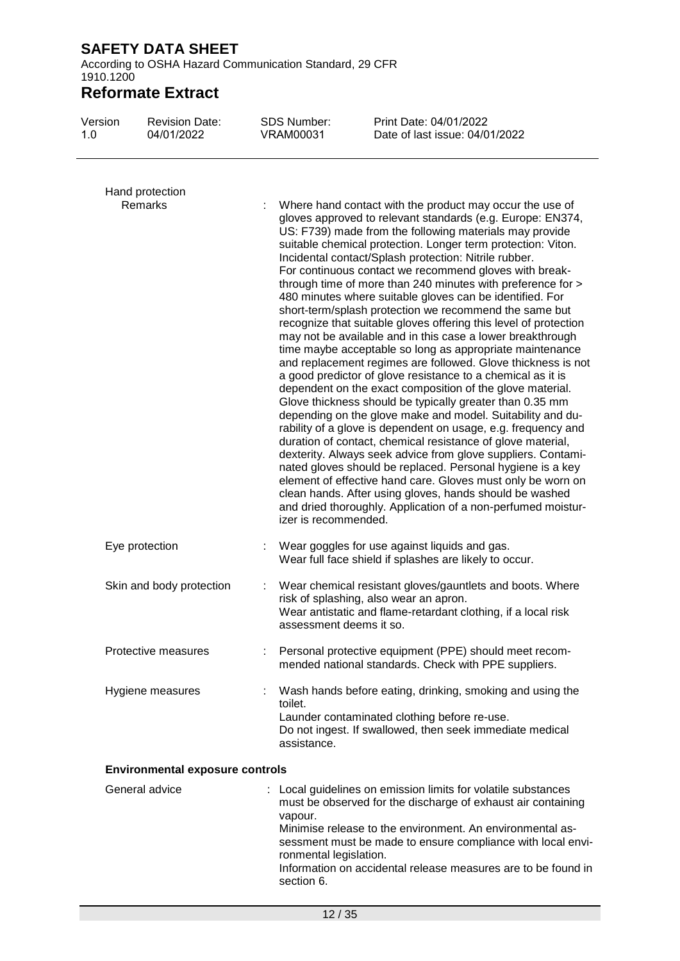According to OSHA Hazard Communication Standard, 29 CFR 1910.1200

## **Reformate Extract**

| Version<br>1.0 | <b>Revision Date:</b><br>04/01/2022    | <b>SDS Number:</b><br><b>VRAM00031</b> | Print Date: 04/01/2022<br>Date of last issue: 04/01/2022                                                                                                                                                                                                                                                                                                                                                                                                                                                                                                                                                                                                                                                                                                                                                                                                                                                                     |  |
|----------------|----------------------------------------|----------------------------------------|------------------------------------------------------------------------------------------------------------------------------------------------------------------------------------------------------------------------------------------------------------------------------------------------------------------------------------------------------------------------------------------------------------------------------------------------------------------------------------------------------------------------------------------------------------------------------------------------------------------------------------------------------------------------------------------------------------------------------------------------------------------------------------------------------------------------------------------------------------------------------------------------------------------------------|--|
|                | Hand protection<br>Remarks             |                                        | Where hand contact with the product may occur the use of<br>gloves approved to relevant standards (e.g. Europe: EN374,<br>US: F739) made from the following materials may provide<br>suitable chemical protection. Longer term protection: Viton.<br>Incidental contact/Splash protection: Nitrile rubber.<br>For continuous contact we recommend gloves with break-<br>through time of more than 240 minutes with preference for ><br>480 minutes where suitable gloves can be identified. For<br>short-term/splash protection we recommend the same but<br>recognize that suitable gloves offering this level of protection                                                                                                                                                                                                                                                                                                |  |
|                |                                        |                                        | may not be available and in this case a lower breakthrough<br>time maybe acceptable so long as appropriate maintenance<br>and replacement regimes are followed. Glove thickness is not<br>a good predictor of glove resistance to a chemical as it is<br>dependent on the exact composition of the glove material.<br>Glove thickness should be typically greater than 0.35 mm<br>depending on the glove make and model. Suitability and du-<br>rability of a glove is dependent on usage, e.g. frequency and<br>duration of contact, chemical resistance of glove material,<br>dexterity. Always seek advice from glove suppliers. Contami-<br>nated gloves should be replaced. Personal hygiene is a key<br>element of effective hand care. Gloves must only be worn on<br>clean hands. After using gloves, hands should be washed<br>and dried thoroughly. Application of a non-perfumed moistur-<br>izer is recommended. |  |
|                | Eye protection                         |                                        | Wear goggles for use against liquids and gas.<br>Wear full face shield if splashes are likely to occur.                                                                                                                                                                                                                                                                                                                                                                                                                                                                                                                                                                                                                                                                                                                                                                                                                      |  |
|                | Skin and body protection               |                                        | Wear chemical resistant gloves/gauntlets and boots. Where<br>risk of splashing, also wear an apron.<br>Wear antistatic and flame-retardant clothing, if a local risk<br>assessment deems it so.                                                                                                                                                                                                                                                                                                                                                                                                                                                                                                                                                                                                                                                                                                                              |  |
|                | Protective measures                    |                                        | Personal protective equipment (PPE) should meet recom-<br>mended national standards. Check with PPE suppliers.                                                                                                                                                                                                                                                                                                                                                                                                                                                                                                                                                                                                                                                                                                                                                                                                               |  |
|                | Hygiene measures                       | toilet.                                | Wash hands before eating, drinking, smoking and using the<br>Launder contaminated clothing before re-use.<br>Do not ingest. If swallowed, then seek immediate medical<br>assistance.                                                                                                                                                                                                                                                                                                                                                                                                                                                                                                                                                                                                                                                                                                                                         |  |
|                | <b>Environmental exposure controls</b> |                                        |                                                                                                                                                                                                                                                                                                                                                                                                                                                                                                                                                                                                                                                                                                                                                                                                                                                                                                                              |  |
|                | General advice                         | vapour.                                | : Local guidelines on emission limits for volatile substances<br>must be observed for the discharge of exhaust air containing<br>Minimise release to the environment. An environmental as-<br>sessment must be made to ensure compliance with local envi-                                                                                                                                                                                                                                                                                                                                                                                                                                                                                                                                                                                                                                                                    |  |

Information on accidental release measures are to be found in

ronmental legislation.

section 6.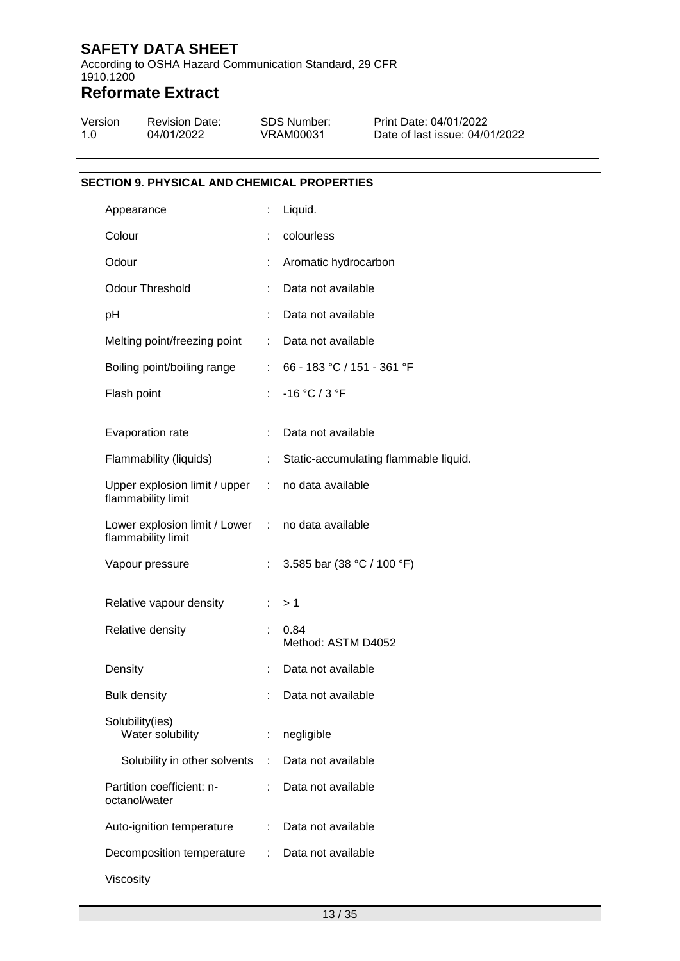According to OSHA Hazard Communication Standard, 29 CFR 1910.1200

## **Reformate Extract**

| Version | <b>Revision Date:</b> | SDS Number: | Print Date: 04/01/2022         |
|---------|-----------------------|-------------|--------------------------------|
| 1.O     | 04/01/2022            | VRAM00031   | Date of last issue: 04/01/2022 |

#### **SECTION 9. PHYSICAL AND CHEMICAL PROPERTIES**

| Appearance                                                              |                           | Liquid.                               |
|-------------------------------------------------------------------------|---------------------------|---------------------------------------|
| Colour                                                                  |                           | colourless                            |
| Odour                                                                   |                           | Aromatic hydrocarbon                  |
| <b>Odour Threshold</b>                                                  |                           | Data not available                    |
| рH                                                                      |                           | Data not available                    |
| Melting point/freezing point                                            | ÷                         | Data not available                    |
| Boiling point/boiling range                                             |                           | 66 - 183 °C / 151 - 361 °F            |
| Flash point                                                             | ÷.                        | $-16 °C / 3 °F$                       |
| Evaporation rate                                                        | ÷.                        | Data not available                    |
| Flammability (liquids)                                                  | t.                        | Static-accumulating flammable liquid. |
| Upper explosion limit / upper :<br>flammability limit                   |                           | no data available                     |
| Lower explosion limit / Lower : no data available<br>flammability limit |                           |                                       |
| Vapour pressure                                                         | ÷                         | 3.585 bar (38 °C / 100 °F)            |
| Relative vapour density                                                 | $\mathbb{R}^{\mathbb{Z}}$ | >1                                    |
| Relative density                                                        |                           | 0.84<br>Method: ASTM D4052            |
| Density                                                                 | t                         | Data not available                    |
| <b>Bulk density</b>                                                     |                           | Data not available                    |
| Solubility(ies)<br>Water solubility                                     |                           | negligible                            |
| Solubility in other solvents                                            | ÷                         | Data not available                    |
| Partition coefficient: n-<br>octanol/water                              |                           | Data not available                    |
| Auto-ignition temperature                                               | ÷                         | Data not available                    |
| Decomposition temperature                                               |                           | Data not available                    |
| Viscosity                                                               |                           |                                       |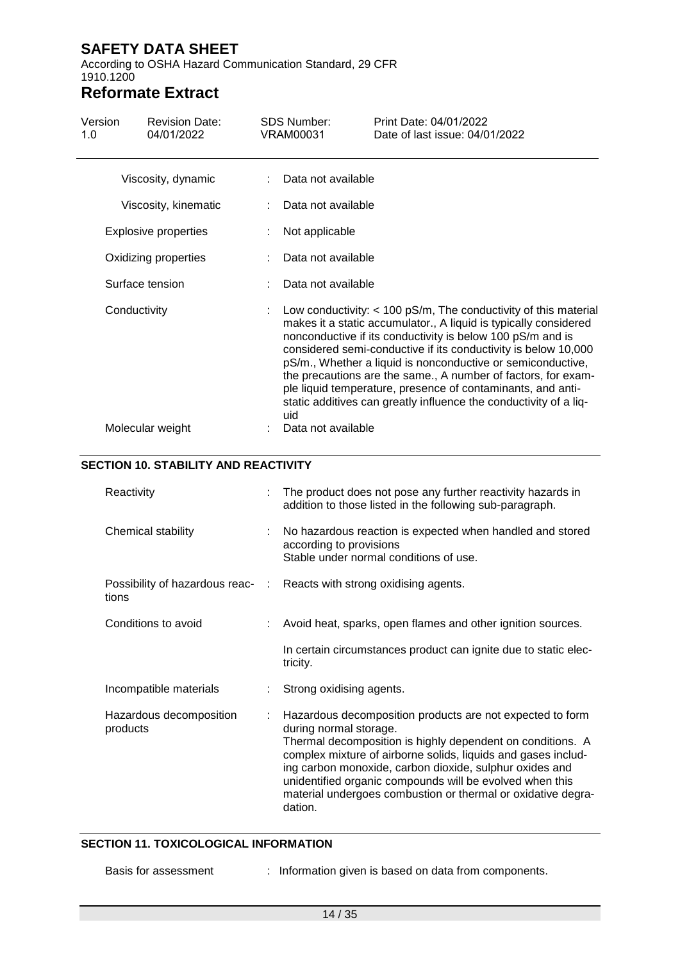According to OSHA Hazard Communication Standard, 29 CFR 1910.1200

# **Reformate Extract**

|                             |  | <b>VRAM00031</b> | Date of last issue: 04/01/2022                                                                                                                                                                                                                                                                                                                                                                                                                                                                                                            |
|-----------------------------|--|------------------|-------------------------------------------------------------------------------------------------------------------------------------------------------------------------------------------------------------------------------------------------------------------------------------------------------------------------------------------------------------------------------------------------------------------------------------------------------------------------------------------------------------------------------------------|
| Viscosity, dynamic          |  |                  |                                                                                                                                                                                                                                                                                                                                                                                                                                                                                                                                           |
| Viscosity, kinematic        |  |                  |                                                                                                                                                                                                                                                                                                                                                                                                                                                                                                                                           |
| <b>Explosive properties</b> |  |                  |                                                                                                                                                                                                                                                                                                                                                                                                                                                                                                                                           |
| Oxidizing properties        |  |                  |                                                                                                                                                                                                                                                                                                                                                                                                                                                                                                                                           |
| Surface tension             |  |                  |                                                                                                                                                                                                                                                                                                                                                                                                                                                                                                                                           |
| Conductivity                |  | uid              | Low conductivity: $<$ 100 pS/m, The conductivity of this material<br>makes it a static accumulator., A liquid is typically considered<br>nonconductive if its conductivity is below 100 pS/m and is<br>considered semi-conductive if its conductivity is below 10,000<br>pS/m., Whether a liquid is nonconductive or semiconductive,<br>the precautions are the same., A number of factors, for exam-<br>ple liquid temperature, presence of contaminants, and anti-<br>static additives can greatly influence the conductivity of a liq- |
| Molecular weight            |  |                  |                                                                                                                                                                                                                                                                                                                                                                                                                                                                                                                                           |
|                             |  |                  | Data not available<br>Data not available<br>Not applicable<br>Data not available<br>Data not available<br>Data not available                                                                                                                                                                                                                                                                                                                                                                                                              |

| Reactivity                                | The product does not pose any further reactivity hazards in<br>addition to those listed in the following sub-paragraph.                                                                                                                                                                                                                                                                                              |
|-------------------------------------------|----------------------------------------------------------------------------------------------------------------------------------------------------------------------------------------------------------------------------------------------------------------------------------------------------------------------------------------------------------------------------------------------------------------------|
| Chemical stability                        | No hazardous reaction is expected when handled and stored<br>according to provisions<br>Stable under normal conditions of use.                                                                                                                                                                                                                                                                                       |
| Possibility of hazardous reac- :<br>tions | Reacts with strong oxidising agents.                                                                                                                                                                                                                                                                                                                                                                                 |
| Conditions to avoid                       | Avoid heat, sparks, open flames and other ignition sources.                                                                                                                                                                                                                                                                                                                                                          |
|                                           | In certain circumstances product can ignite due to static elec-<br>tricity.                                                                                                                                                                                                                                                                                                                                          |
| Incompatible materials                    | Strong oxidising agents.                                                                                                                                                                                                                                                                                                                                                                                             |
| Hazardous decomposition<br>products       | Hazardous decomposition products are not expected to form<br>during normal storage.<br>Thermal decomposition is highly dependent on conditions. A<br>complex mixture of airborne solids, liquids and gases includ-<br>ing carbon monoxide, carbon dioxide, sulphur oxides and<br>unidentified organic compounds will be evolved when this<br>material undergoes combustion or thermal or oxidative degra-<br>dation. |

#### **SECTION 11. TOXICOLOGICAL INFORMATION**

- 
- Basis for assessment : Information given is based on data from components.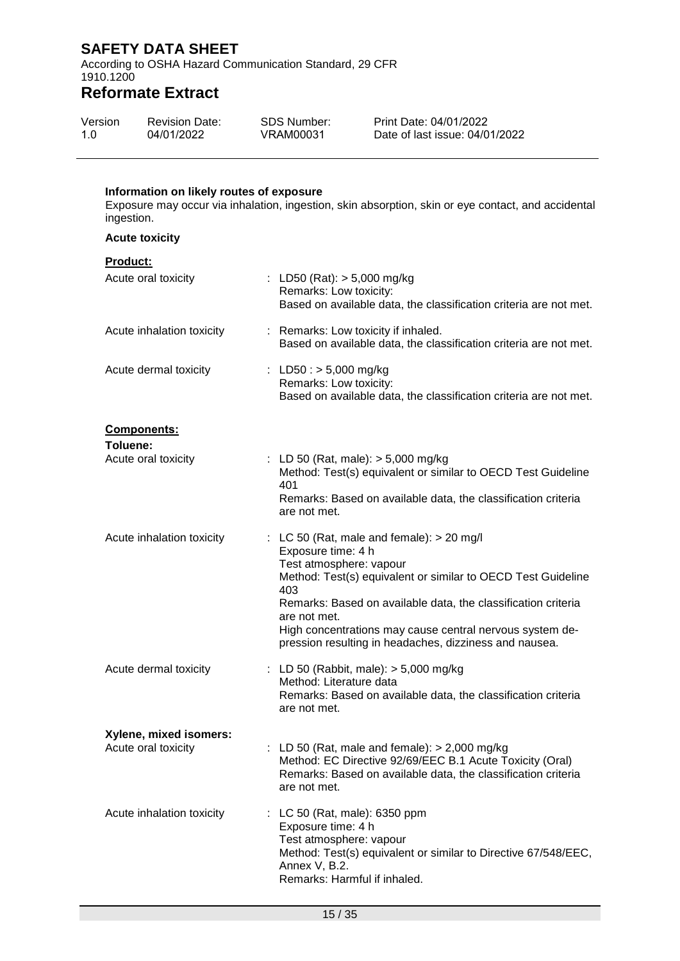According to OSHA Hazard Communication Standard, 29 CFR 1910.1200

## **Reformate Extract**

| Version | <b>Revision Date:</b> | SDS Number: | Print Date: 04/01/2022         |
|---------|-----------------------|-------------|--------------------------------|
| 1.0     | 04/01/2022            | VRAM00031   | Date of last issue: 04/01/2022 |

#### **Information on likely routes of exposure**

Exposure may occur via inhalation, ingestion, skin absorption, skin or eye contact, and accidental ingestion.

**Acute toxicity**

| Product:                  |                                                                                                                                                                                                                                                                                                                                                                            |
|---------------------------|----------------------------------------------------------------------------------------------------------------------------------------------------------------------------------------------------------------------------------------------------------------------------------------------------------------------------------------------------------------------------|
| Acute oral toxicity       | : LD50 (Rat): $> 5,000$ mg/kg<br>Remarks: Low toxicity:<br>Based on available data, the classification criteria are not met.                                                                                                                                                                                                                                               |
| Acute inhalation toxicity | : Remarks: Low toxicity if inhaled.<br>Based on available data, the classification criteria are not met.                                                                                                                                                                                                                                                                   |
| Acute dermal toxicity     | : LD50 : $> 5,000$ mg/kg<br>Remarks: Low toxicity:<br>Based on available data, the classification criteria are not met.                                                                                                                                                                                                                                                    |
| Components:               |                                                                                                                                                                                                                                                                                                                                                                            |
| Toluene:                  |                                                                                                                                                                                                                                                                                                                                                                            |
| Acute oral toxicity       | : LD 50 (Rat, male): > 5,000 mg/kg<br>Method: Test(s) equivalent or similar to OECD Test Guideline<br>401                                                                                                                                                                                                                                                                  |
|                           | Remarks: Based on available data, the classification criteria<br>are not met.                                                                                                                                                                                                                                                                                              |
| Acute inhalation toxicity | : LC 50 (Rat, male and female): $> 20$ mg/l<br>Exposure time: 4 h<br>Test atmosphere: vapour<br>Method: Test(s) equivalent or similar to OECD Test Guideline<br>403<br>Remarks: Based on available data, the classification criteria<br>are not met.<br>High concentrations may cause central nervous system de-<br>pression resulting in headaches, dizziness and nausea. |
| Acute dermal toxicity     | : LD 50 (Rabbit, male): $>$ 5,000 mg/kg<br>Method: Literature data<br>Remarks: Based on available data, the classification criteria<br>are not met.                                                                                                                                                                                                                        |
| Xylene, mixed isomers:    |                                                                                                                                                                                                                                                                                                                                                                            |
| Acute oral toxicity       | : LD 50 (Rat, male and female): $> 2,000$ mg/kg<br>Method: EC Directive 92/69/EEC B.1 Acute Toxicity (Oral)<br>Remarks: Based on available data, the classification criteria<br>are not met.                                                                                                                                                                               |
| Acute inhalation toxicity | LC 50 (Rat, male): 6350 ppm<br>Exposure time: 4 h<br>Test atmosphere: vapour<br>Method: Test(s) equivalent or similar to Directive 67/548/EEC,<br>Annex V, B.2.<br>Remarks: Harmful if inhaled.                                                                                                                                                                            |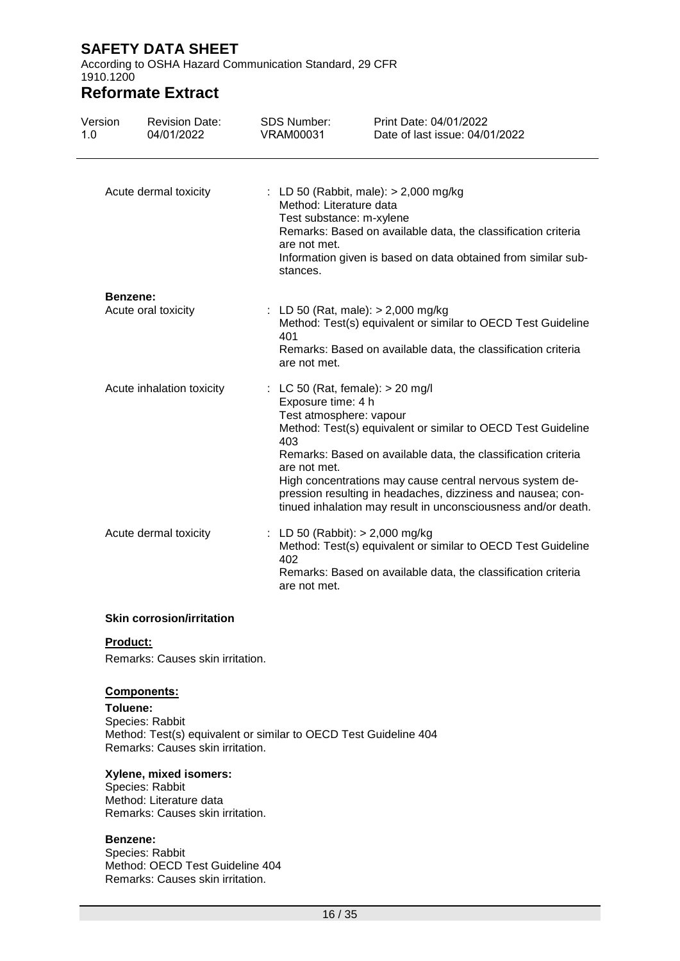According to OSHA Hazard Communication Standard, 29 CFR 1910.1200

## **Reformate Extract**

| Version<br>1.0            | <b>Revision Date:</b><br>04/01/2022 | <b>SDS Number:</b><br>VRAM00031                                                                            | Print Date: 04/01/2022<br>Date of last issue: 04/01/2022                                                                                                                                                                                                                                                                  |
|---------------------------|-------------------------------------|------------------------------------------------------------------------------------------------------------|---------------------------------------------------------------------------------------------------------------------------------------------------------------------------------------------------------------------------------------------------------------------------------------------------------------------------|
|                           | Acute dermal toxicity               | Method: Literature data<br>Test substance: m-xylene<br>are not met.<br>stances.                            | : LD 50 (Rabbit, male): $> 2,000$ mg/kg<br>Remarks: Based on available data, the classification criteria<br>Information given is based on data obtained from similar sub-                                                                                                                                                 |
|                           | Benzene:                            |                                                                                                            |                                                                                                                                                                                                                                                                                                                           |
| Acute oral toxicity       |                                     | 401<br>are not met.                                                                                        | : LD 50 (Rat, male): $> 2,000$ mg/kg<br>Method: Test(s) equivalent or similar to OECD Test Guideline<br>Remarks: Based on available data, the classification criteria                                                                                                                                                     |
| Acute inhalation toxicity |                                     | : LC 50 (Rat, female): $> 20$ mg/l<br>Exposure time: 4 h<br>Test atmosphere: vapour<br>403<br>are not met. | Method: Test(s) equivalent or similar to OECD Test Guideline<br>Remarks: Based on available data, the classification criteria<br>High concentrations may cause central nervous system de-<br>pression resulting in headaches, dizziness and nausea; con-<br>tinued inhalation may result in unconsciousness and/or death. |
|                           | Acute dermal toxicity               | 402<br>are not met.                                                                                        | LD 50 (Rabbit): > 2,000 mg/kg<br>Method: Test(s) equivalent or similar to OECD Test Guideline<br>Remarks: Based on available data, the classification criteria                                                                                                                                                            |

#### **Skin corrosion/irritation**

#### **Product:**

Remarks: Causes skin irritation.

#### **Components:**

**Toluene:** Species: Rabbit Method: Test(s) equivalent or similar to OECD Test Guideline 404 Remarks: Causes skin irritation.

#### **Xylene, mixed isomers:**

Species: Rabbit Method: Literature data Remarks: Causes skin irritation.

#### **Benzene:**

Species: Rabbit Method: OECD Test Guideline 404 Remarks: Causes skin irritation.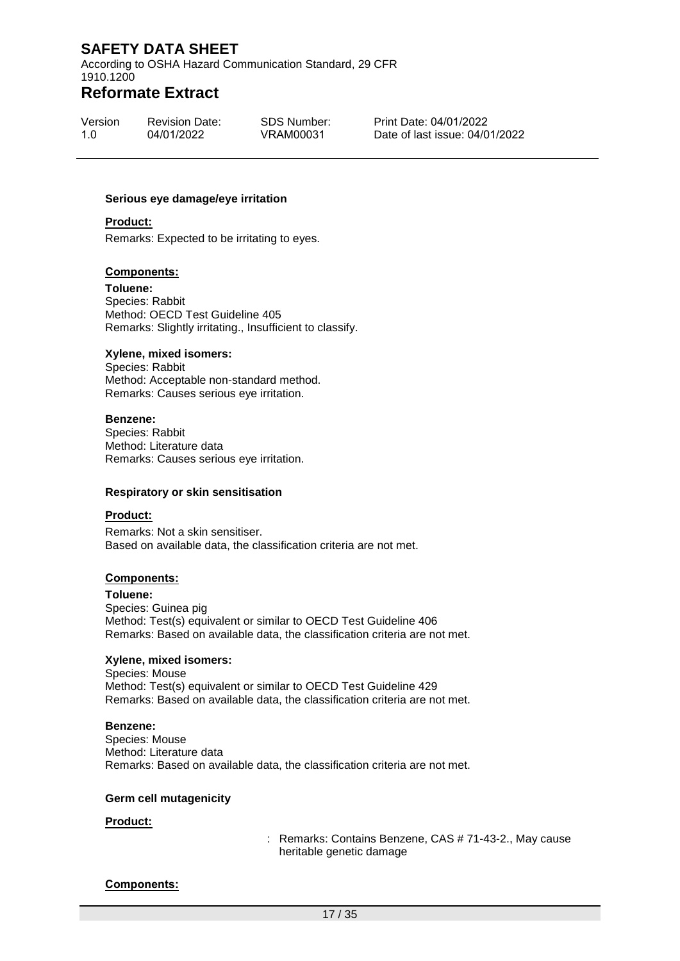According to OSHA Hazard Communication Standard, 29 CFR 1910.1200

### **Reformate Extract**

| Version | <b>Revision Date:</b> | SDS Number: |
|---------|-----------------------|-------------|
| 1.0     | 04/01/2022            | VRAM00031   |

Print Date: 04/01/2022 Date of last issue: 04/01/2022

#### **Serious eye damage/eye irritation**

#### **Product:**

Remarks: Expected to be irritating to eyes.

#### **Components:**

**Toluene:** Species: Rabbit Method: OECD Test Guideline 405 Remarks: Slightly irritating., Insufficient to classify.

#### **Xylene, mixed isomers:**

Species: Rabbit Method: Acceptable non-standard method. Remarks: Causes serious eye irritation.

#### **Benzene:**

Species: Rabbit Method: Literature data Remarks: Causes serious eye irritation.

#### **Respiratory or skin sensitisation**

#### **Product:**

Remarks: Not a skin sensitiser. Based on available data, the classification criteria are not met.

#### **Components:**

**Toluene:** Species: Guinea pig Method: Test(s) equivalent or similar to OECD Test Guideline 406 Remarks: Based on available data, the classification criteria are not met.

#### **Xylene, mixed isomers:**

Species: Mouse Method: Test(s) equivalent or similar to OECD Test Guideline 429 Remarks: Based on available data, the classification criteria are not met.

#### **Benzene:**

Species: Mouse Method: Literature data Remarks: Based on available data, the classification criteria are not met.

#### **Germ cell mutagenicity**

#### **Product:**

: Remarks: Contains Benzene, CAS # 71-43-2., May cause heritable genetic damage

#### **Components:**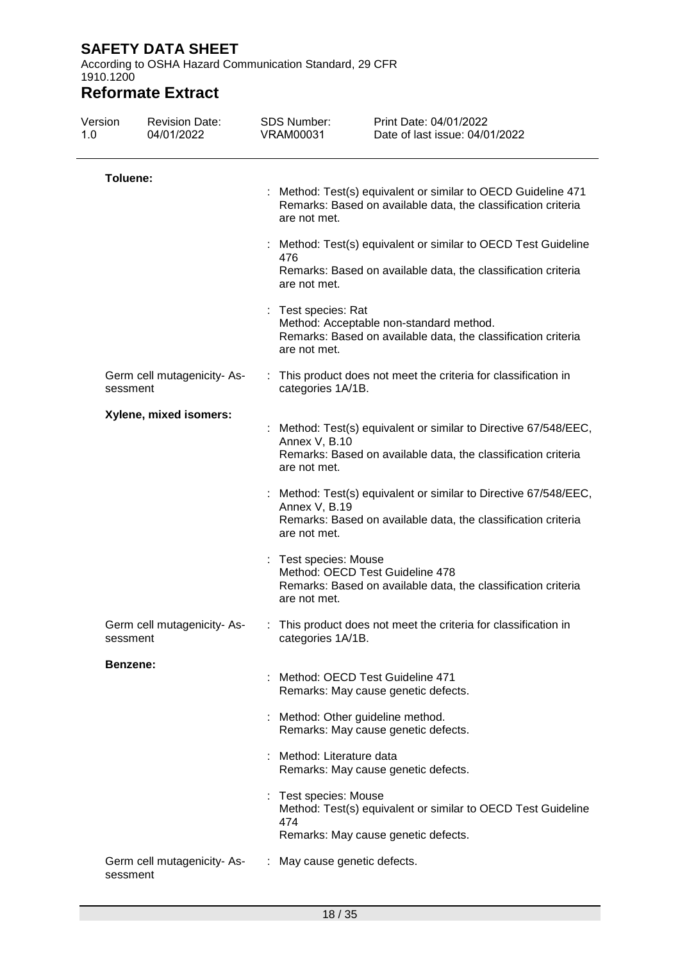According to OSHA Hazard Communication Standard, 29 CFR 1910.1200

| Version<br>1.0 | <b>Revision Date:</b><br>04/01/2022 | <b>SDS Number:</b><br><b>VRAM00031</b>                                                                                                       | Print Date: 04/01/2022<br>Date of last issue: 04/01/2022                                                                        |  |  |  |
|----------------|-------------------------------------|----------------------------------------------------------------------------------------------------------------------------------------------|---------------------------------------------------------------------------------------------------------------------------------|--|--|--|
| Toluene:       |                                     | Method: Test(s) equivalent or similar to OECD Guideline 471<br>Remarks: Based on available data, the classification criteria<br>are not met. |                                                                                                                                 |  |  |  |
|                |                                     | 476<br>are not met.                                                                                                                          | Method: Test(s) equivalent or similar to OECD Test Guideline<br>Remarks: Based on available data, the classification criteria   |  |  |  |
|                |                                     | t<br>Test species: Rat<br>are not met.                                                                                                       | Method: Acceptable non-standard method.<br>Remarks: Based on available data, the classification criteria                        |  |  |  |
| sessment       | Germ cell mutagenicity- As-         | categories 1A/1B.                                                                                                                            | : This product does not meet the criteria for classification in                                                                 |  |  |  |
|                | Xylene, mixed isomers:              | Annex V, B.10<br>are not met.                                                                                                                | Method: Test(s) equivalent or similar to Directive 67/548/EEC,<br>Remarks: Based on available data, the classification criteria |  |  |  |
|                |                                     | Annex V, B.19<br>are not met.                                                                                                                | Method: Test(s) equivalent or similar to Directive 67/548/EEC,<br>Remarks: Based on available data, the classification criteria |  |  |  |
|                |                                     | Test species: Mouse<br>are not met.                                                                                                          | Method: OECD Test Guideline 478<br>Remarks: Based on available data, the classification criteria                                |  |  |  |
| sessment       | Germ cell mutagenicity- As-         | categories 1A/1B.                                                                                                                            | : This product does not meet the criteria for classification in                                                                 |  |  |  |
| Benzene:       |                                     |                                                                                                                                              | Method: OECD Test Guideline 471<br>Remarks: May cause genetic defects.                                                          |  |  |  |
|                |                                     |                                                                                                                                              | Method: Other guideline method.<br>Remarks: May cause genetic defects.                                                          |  |  |  |
|                |                                     | Method: Literature data                                                                                                                      | Remarks: May cause genetic defects.                                                                                             |  |  |  |
|                |                                     | Test species: Mouse<br>474                                                                                                                   | Method: Test(s) equivalent or similar to OECD Test Guideline<br>Remarks: May cause genetic defects.                             |  |  |  |
| sessment       | Germ cell mutagenicity-As-          | May cause genetic defects.                                                                                                                   |                                                                                                                                 |  |  |  |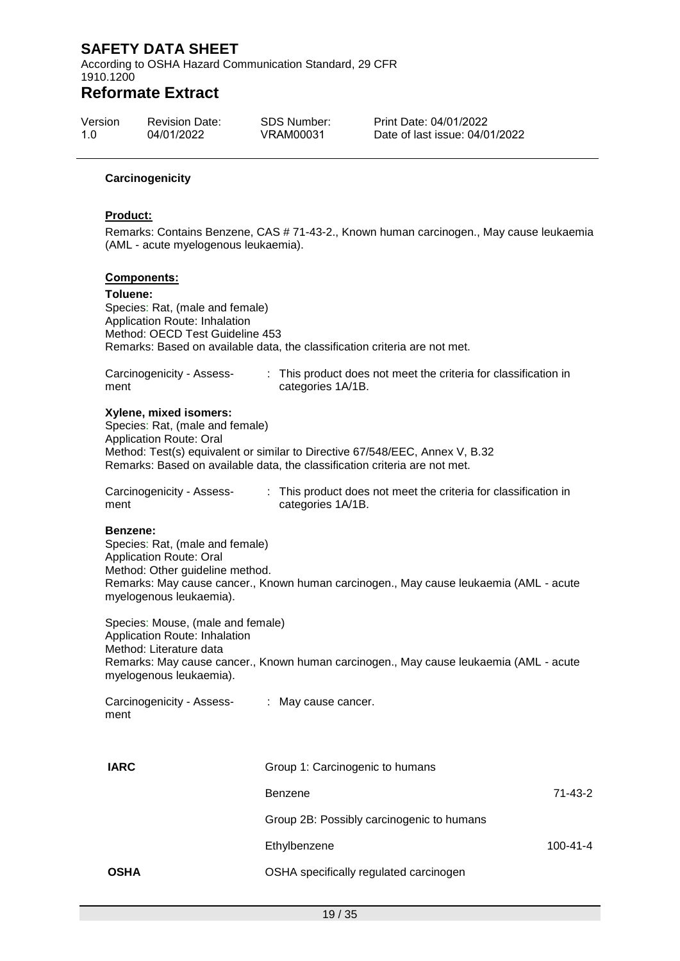According to OSHA Hazard Communication Standard, 29 CFR 1910.1200

## **Reformate Extract**

| Version | <b>Revision Date:</b> | <b>SDS Number:</b> | Print |
|---------|-----------------------|--------------------|-------|
| 1.0     | 04/01/2022            | VRAM00031          | Date  |

Date: 04/01/2022 e of last issue: 04/01/2022

#### **Carcinogenicity**

#### **Product:**

Remarks: Contains Benzene, CAS # 71-43-2., Known human carcinogen., May cause leukaemia (AML - acute myelogenous leukaemia).

#### **Components:**

**Toluene:** Species: Rat, (male and female) Application Route: Inhalation Method: OECD Test Guideline 453 Remarks: Based on available data, the classification criteria are not met.

| Carcinogenicity - Assess- | : This product does not meet the criteria for classification in |
|---------------------------|-----------------------------------------------------------------|
| ment                      | categories 1A/1B.                                               |

#### **Xylene, mixed isomers:**

Species: Rat, (male and female) Application Route: Oral Method: Test(s) equivalent or similar to Directive 67/548/EEC, Annex V, B.32 Remarks: Based on available data, the classification criteria are not met.

| Carcinogenicity - Assess- | This product does not meet the criteria for classification in |
|---------------------------|---------------------------------------------------------------|
| ment                      | categories 1A/1B.                                             |

#### **Benzene:**

Species: Rat, (male and female) Application Route: Oral Method: Other guideline method. Remarks: May cause cancer., Known human carcinogen., May cause leukaemia (AML - acute myelogenous leukaemia).

Species: Mouse, (male and female) Application Route: Inhalation Method: Literature data Remarks: May cause cancer., Known human carcinogen., May cause leukaemia (AML - acute myelogenous leukaemia).

| Carcinogenicity - Assess- | : May cause cancer. |
|---------------------------|---------------------|
| ment                      |                     |

| <b>IARC</b> | Group 1: Carcinogenic to humans           |               |
|-------------|-------------------------------------------|---------------|
|             | Benzene                                   | $71 - 43 - 2$ |
|             | Group 2B: Possibly carcinogenic to humans |               |
|             | Ethylbenzene                              | 100-41-4      |
| <b>OSHA</b> | OSHA specifically regulated carcinogen    |               |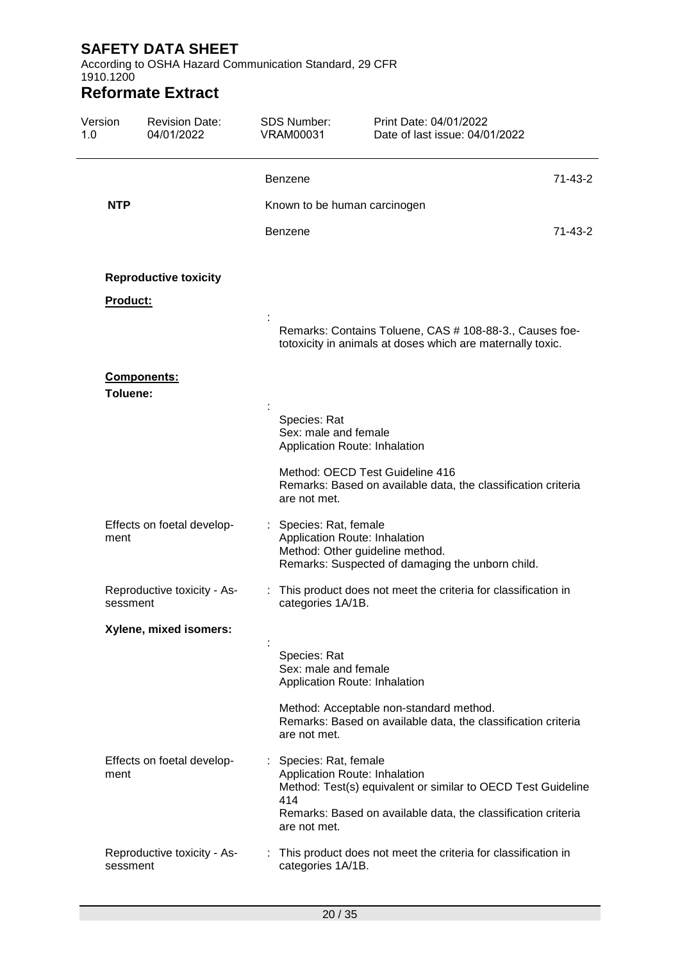According to OSHA Hazard Communication Standard, 29 CFR 1910.1200

| Version<br>1.0 | <b>Revision Date:</b><br>04/01/2022 | <b>SDS Number:</b><br><b>VRAM00031</b>        | Print Date: 04/01/2022<br>Date of last issue: 04/01/2022                                                                                                       |               |
|----------------|-------------------------------------|-----------------------------------------------|----------------------------------------------------------------------------------------------------------------------------------------------------------------|---------------|
|                |                                     | <b>Benzene</b>                                |                                                                                                                                                                | 71-43-2       |
| <b>NTP</b>     |                                     | Known to be human carcinogen                  |                                                                                                                                                                |               |
|                |                                     | <b>Benzene</b>                                |                                                                                                                                                                | $71 - 43 - 2$ |
|                | <b>Reproductive toxicity</b>        |                                               |                                                                                                                                                                |               |
| Product:       |                                     |                                               |                                                                                                                                                                |               |
|                |                                     |                                               | Remarks: Contains Toluene, CAS # 108-88-3., Causes foe-<br>totoxicity in animals at doses which are maternally toxic.                                          |               |
| Toluene:       | Components:                         |                                               |                                                                                                                                                                |               |
|                |                                     | Species: Rat<br>Sex: male and female          | Application Route: Inhalation                                                                                                                                  |               |
|                |                                     | are not met.                                  | Method: OECD Test Guideline 416<br>Remarks: Based on available data, the classification criteria                                                               |               |
| ment           | Effects on foetal develop-          | : Species: Rat, female                        | Application Route: Inhalation<br>Method: Other guideline method.<br>Remarks: Suspected of damaging the unborn child.                                           |               |
| sessment       | Reproductive toxicity - As-         | categories 1A/1B.                             | : This product does not meet the criteria for classification in                                                                                                |               |
|                | Xylene, mixed isomers:              |                                               |                                                                                                                                                                |               |
|                |                                     | Species: Rat<br>Sex: male and female          | Application Route: Inhalation                                                                                                                                  |               |
|                |                                     | are not met.                                  | Method: Acceptable non-standard method.<br>Remarks: Based on available data, the classification criteria                                                       |               |
| ment           | Effects on foetal develop-          | : Species: Rat, female<br>414<br>are not met. | Application Route: Inhalation<br>Method: Test(s) equivalent or similar to OECD Test Guideline<br>Remarks: Based on available data, the classification criteria |               |
| sessment       | Reproductive toxicity - As-         | categories 1A/1B.                             | This product does not meet the criteria for classification in                                                                                                  |               |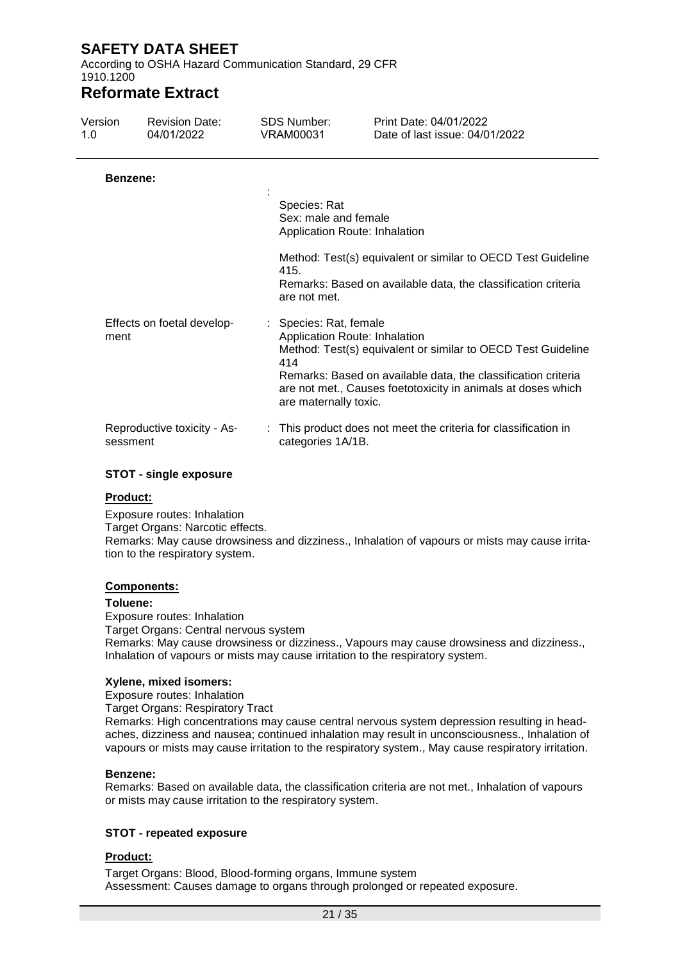According to OSHA Hazard Communication Standard, 29 CFR 1910.1200

## **Reformate Extract**

| Version<br>1.0 | <b>Revision Date:</b><br>04/01/2022 | <b>SDS Number:</b><br><b>VRAM00031</b>                 | Print Date: 04/01/2022<br>Date of last issue: 04/01/2022                                                                                                                                                                       |
|----------------|-------------------------------------|--------------------------------------------------------|--------------------------------------------------------------------------------------------------------------------------------------------------------------------------------------------------------------------------------|
| Benzene:       |                                     |                                                        |                                                                                                                                                                                                                                |
|                |                                     | Species: Rat<br>Sex: male and female                   | Application Route: Inhalation                                                                                                                                                                                                  |
|                |                                     | 415.<br>are not met.                                   | Method: Test(s) equivalent or similar to OECD Test Guideline<br>Remarks: Based on available data, the classification criteria                                                                                                  |
| ment           | Effects on foetal develop-          | : Species: Rat, female<br>414<br>are maternally toxic. | Application Route: Inhalation<br>Method: Test(s) equivalent or similar to OECD Test Guideline<br>Remarks: Based on available data, the classification criteria<br>are not met., Causes foetotoxicity in animals at doses which |
| sessment       | Reproductive toxicity - As-         | categories 1A/1B.                                      | : This product does not meet the criteria for classification in                                                                                                                                                                |

#### **STOT - single exposure**

#### **Product:**

Exposure routes: Inhalation Target Organs: Narcotic effects. Remarks: May cause drowsiness and dizziness., Inhalation of vapours or mists may cause irritation to the respiratory system.

#### **Components:**

#### **Toluene:**

Exposure routes: Inhalation Target Organs: Central nervous system Remarks: May cause drowsiness or dizziness., Vapours may cause drowsiness and dizziness., Inhalation of vapours or mists may cause irritation to the respiratory system.

#### **Xylene, mixed isomers:**

Exposure routes: Inhalation

Target Organs: Respiratory Tract

Remarks: High concentrations may cause central nervous system depression resulting in headaches, dizziness and nausea; continued inhalation may result in unconsciousness., Inhalation of vapours or mists may cause irritation to the respiratory system., May cause respiratory irritation.

#### **Benzene:**

Remarks: Based on available data, the classification criteria are not met., Inhalation of vapours or mists may cause irritation to the respiratory system.

#### **STOT - repeated exposure**

#### **Product:**

Target Organs: Blood, Blood-forming organs, Immune system Assessment: Causes damage to organs through prolonged or repeated exposure.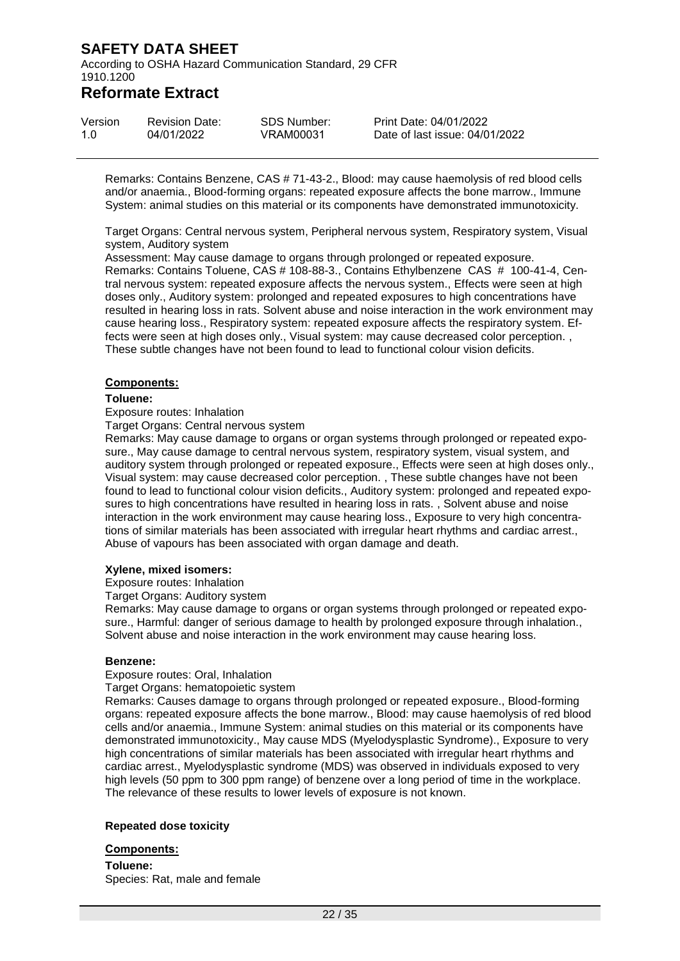According to OSHA Hazard Communication Standard, 29 CFR 1910.1200

### **Reformate Extract**

| Version | <b>Revision Date:</b> | SDS Number: | Print Date: 04/01/2022         |
|---------|-----------------------|-------------|--------------------------------|
| 1.O     | 04/01/2022            | VRAM00031   | Date of last issue: 04/01/2022 |

Remarks: Contains Benzene, CAS # 71-43-2., Blood: may cause haemolysis of red blood cells and/or anaemia., Blood-forming organs: repeated exposure affects the bone marrow., Immune System: animal studies on this material or its components have demonstrated immunotoxicity.

Target Organs: Central nervous system, Peripheral nervous system, Respiratory system, Visual system, Auditory system

Assessment: May cause damage to organs through prolonged or repeated exposure. Remarks: Contains Toluene, CAS # 108-88-3., Contains Ethylbenzene CAS # 100-41-4, Central nervous system: repeated exposure affects the nervous system., Effects were seen at high doses only., Auditory system: prolonged and repeated exposures to high concentrations have resulted in hearing loss in rats. Solvent abuse and noise interaction in the work environment may cause hearing loss., Respiratory system: repeated exposure affects the respiratory system. Effects were seen at high doses only., Visual system: may cause decreased color perception. , These subtle changes have not been found to lead to functional colour vision deficits.

#### **Components:**

#### **Toluene:**

#### Exposure routes: Inhalation

Target Organs: Central nervous system

Remarks: May cause damage to organs or organ systems through prolonged or repeated exposure., May cause damage to central nervous system, respiratory system, visual system, and auditory system through prolonged or repeated exposure., Effects were seen at high doses only., Visual system: may cause decreased color perception. , These subtle changes have not been found to lead to functional colour vision deficits., Auditory system: prolonged and repeated exposures to high concentrations have resulted in hearing loss in rats. , Solvent abuse and noise interaction in the work environment may cause hearing loss., Exposure to very high concentrations of similar materials has been associated with irregular heart rhythms and cardiac arrest., Abuse of vapours has been associated with organ damage and death.

#### **Xylene, mixed isomers:**

Exposure routes: Inhalation

Target Organs: Auditory system

Remarks: May cause damage to organs or organ systems through prolonged or repeated exposure., Harmful: danger of serious damage to health by prolonged exposure through inhalation., Solvent abuse and noise interaction in the work environment may cause hearing loss.

#### **Benzene:**

Exposure routes: Oral, Inhalation

Target Organs: hematopoietic system

Remarks: Causes damage to organs through prolonged or repeated exposure., Blood-forming organs: repeated exposure affects the bone marrow., Blood: may cause haemolysis of red blood cells and/or anaemia., Immune System: animal studies on this material or its components have demonstrated immunotoxicity., May cause MDS (Myelodysplastic Syndrome)., Exposure to very high concentrations of similar materials has been associated with irregular heart rhythms and cardiac arrest., Myelodysplastic syndrome (MDS) was observed in individuals exposed to very high levels (50 ppm to 300 ppm range) of benzene over a long period of time in the workplace. The relevance of these results to lower levels of exposure is not known.

#### **Repeated dose toxicity**

#### **Components:**

**Toluene:** Species: Rat, male and female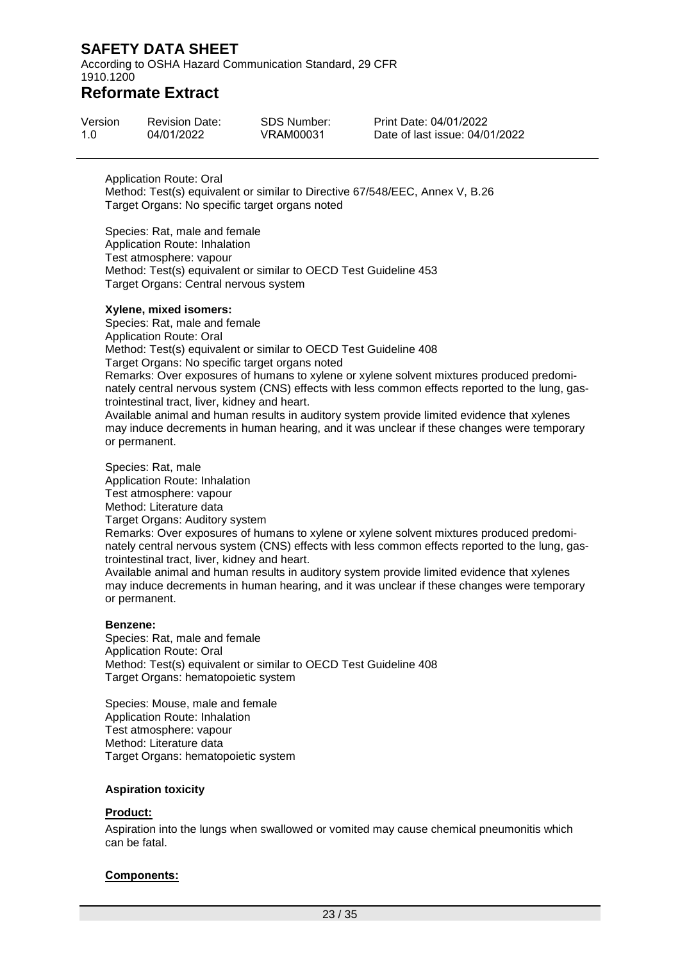According to OSHA Hazard Communication Standard, 29 CFR 1910.1200

### **Reformate Extract**

| Version | <b>Revision Date:</b> | SDS Number: | <b>Print Date:</b> |
|---------|-----------------------|-------------|--------------------|
| 1.0     | 04/01/2022            | VRAM00031   | Date of las        |

04/01/2022 st issue: 04/01/2022

Application Route: Oral Method: Test(s) equivalent or similar to Directive 67/548/EEC, Annex V, B.26 Target Organs: No specific target organs noted

Species: Rat, male and female Application Route: Inhalation Test atmosphere: vapour Method: Test(s) equivalent or similar to OECD Test Guideline 453 Target Organs: Central nervous system

#### **Xylene, mixed isomers:**

Species: Rat, male and female Application Route: Oral Method: Test(s) equivalent or similar to OECD Test Guideline 408 Target Organs: No specific target organs noted Remarks: Over exposures of humans to xylene or xylene solvent mixtures produced predominately central nervous system (CNS) effects with less common effects reported to the lung, gastrointestinal tract, liver, kidney and heart. Available animal and human results in auditory system provide limited evidence that xylenes

may induce decrements in human hearing, and it was unclear if these changes were temporary or permanent.

Species: Rat, male Application Route: Inhalation Test atmosphere: vapour Method: Literature data Target Organs: Auditory system Remarks: Over exposures of humans to xylene or xylene solvent mixtures produced predominately central nervous system (CNS) effects with less common effects reported to the lung, gastrointestinal tract, liver, kidney and heart. Available animal and human results in auditory system provide limited evidence that xylenes

may induce decrements in human hearing, and it was unclear if these changes were temporary or permanent.

#### **Benzene:**

Species: Rat, male and female Application Route: Oral Method: Test(s) equivalent or similar to OECD Test Guideline 408 Target Organs: hematopoietic system

Species: Mouse, male and female Application Route: Inhalation Test atmosphere: vapour Method: Literature data Target Organs: hematopoietic system

#### **Aspiration toxicity**

#### **Product:**

Aspiration into the lungs when swallowed or vomited may cause chemical pneumonitis which can be fatal.

#### **Components:**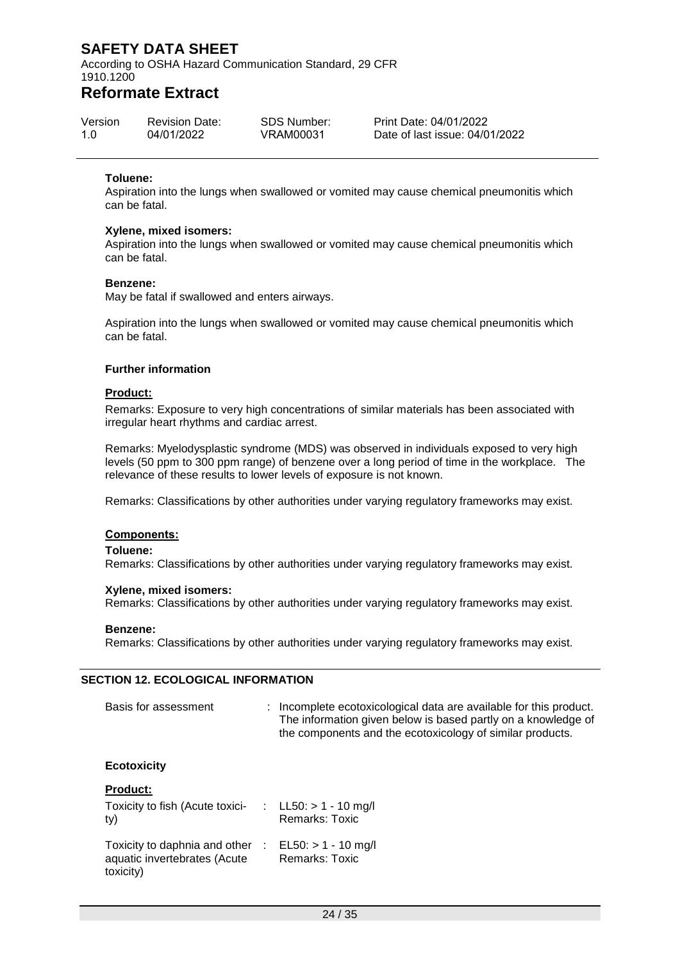According to OSHA Hazard Communication Standard, 29 CFR 1910.1200

### **Reformate Extract**

| Version | <b>Revision Date:</b> | SDS Number: | Print Date: 04/01/2022         |
|---------|-----------------------|-------------|--------------------------------|
| 1.0     | 04/01/2022            | VRAM00031   | Date of last issue: 04/01/2022 |

#### **Toluene:**

Aspiration into the lungs when swallowed or vomited may cause chemical pneumonitis which can be fatal.

#### **Xylene, mixed isomers:**

Aspiration into the lungs when swallowed or vomited may cause chemical pneumonitis which can be fatal.

#### **Benzene:**

May be fatal if swallowed and enters airways.

Aspiration into the lungs when swallowed or vomited may cause chemical pneumonitis which can be fatal.

#### **Further information**

#### **Product:**

Remarks: Exposure to very high concentrations of similar materials has been associated with irregular heart rhythms and cardiac arrest.

Remarks: Myelodysplastic syndrome (MDS) was observed in individuals exposed to very high levels (50 ppm to 300 ppm range) of benzene over a long period of time in the workplace. The relevance of these results to lower levels of exposure is not known.

Remarks: Classifications by other authorities under varying regulatory frameworks may exist.

#### **Components:**

#### **Toluene:**

Remarks: Classifications by other authorities under varying regulatory frameworks may exist.

#### **Xylene, mixed isomers:**

Remarks: Classifications by other authorities under varying regulatory frameworks may exist.

#### **Benzene:**

Remarks: Classifications by other authorities under varying regulatory frameworks may exist.

#### **SECTION 12. ECOLOGICAL INFORMATION**

| Basis for assessment | : Incomplete ecotoxicological data are available for this product.<br>The information given below is based partly on a knowledge of<br>the components and the ecotoxicology of similar products. |
|----------------------|--------------------------------------------------------------------------------------------------------------------------------------------------------------------------------------------------|
| <b>Ecotoxicity</b>   |                                                                                                                                                                                                  |
| <b>Product:</b>      |                                                                                                                                                                                                  |

| Toxicity to fish (Acute toxici-<br>ty)                                     | : $LL50: > 1 - 10$ mg/l<br><b>Remarks: Toxic</b> |
|----------------------------------------------------------------------------|--------------------------------------------------|
| Toxicity to daphnia and other<br>aquatic invertebrates (Acute<br>toxicity) | $EL50: > 1 - 10$ mg/l<br><b>Remarks: Toxic</b>   |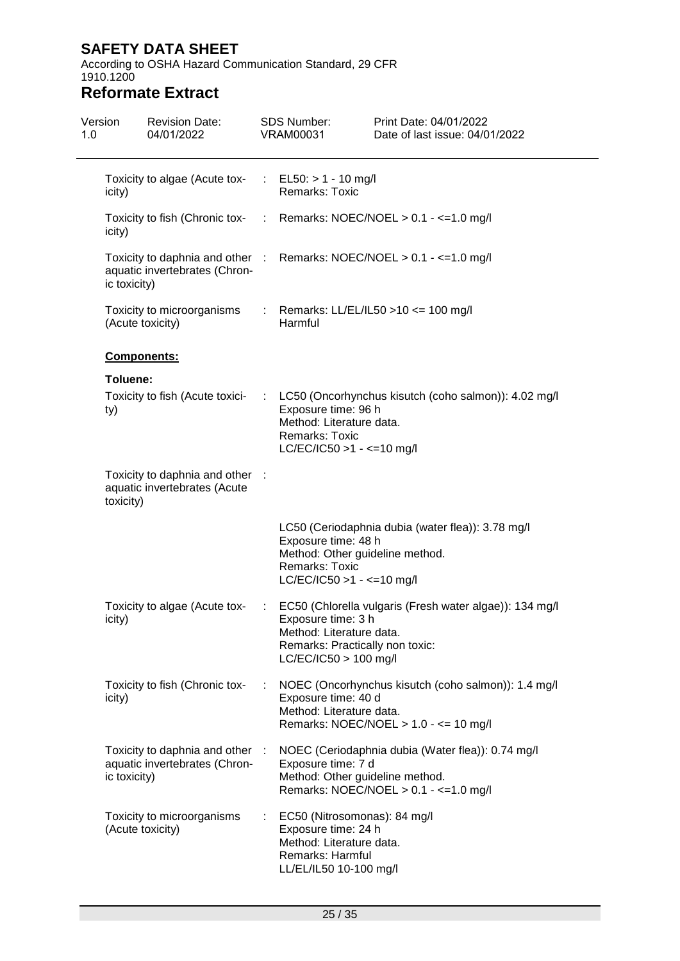According to OSHA Hazard Communication Standard, 29 CFR 1910.1200

| Version<br>1.0 |              | <b>Revision Date:</b><br>04/01/2022                             |   | <b>SDS Number:</b><br><b>VRAM00031</b>                                                                                        | Print Date: 04/01/2022<br>Date of last issue: 04/01/2022                                                                          |
|----------------|--------------|-----------------------------------------------------------------|---|-------------------------------------------------------------------------------------------------------------------------------|-----------------------------------------------------------------------------------------------------------------------------------|
|                | icity)       | Toxicity to algae (Acute tox-                                   | ÷ | $EL50: > 1 - 10$ mg/l<br>Remarks: Toxic                                                                                       |                                                                                                                                   |
|                | icity)       |                                                                 |   |                                                                                                                               | Toxicity to fish (Chronic tox- : Remarks: NOEC/NOEL > 0.1 - <= 1.0 mg/l                                                           |
|                | ic toxicity) | aquatic invertebrates (Chron-                                   |   |                                                                                                                               | Toxicity to daphnia and other : Remarks: NOEC/NOEL > 0.1 - <= 1.0 mg/l                                                            |
|                |              | Toxicity to microorganisms<br>(Acute toxicity)                  |   | Harmful                                                                                                                       | : Remarks: LL/EL/IL50 > 10 <= 100 mg/l                                                                                            |
|                |              | Components:                                                     |   |                                                                                                                               |                                                                                                                                   |
|                | Toluene:     |                                                                 |   |                                                                                                                               |                                                                                                                                   |
|                | ty)          | Toxicity to fish (Acute toxici-                                 |   | Exposure time: 96 h<br>Method: Literature data.<br>Remarks: Toxic<br>$LC/EC/IC50 > 1 - \le 10$ mg/l                           | LC50 (Oncorhynchus kisutch (coho salmon)): 4.02 mg/l                                                                              |
|                | toxicity)    | Toxicity to daphnia and other :<br>aquatic invertebrates (Acute |   |                                                                                                                               |                                                                                                                                   |
|                |              |                                                                 |   | Exposure time: 48 h<br>Remarks: Toxic<br>$LC/EC/IC50 > 1 - \le 10$ mg/l                                                       | LC50 (Ceriodaphnia dubia (water flea)): 3.78 mg/l<br>Method: Other guideline method.                                              |
|                | icity)       | Toxicity to algae (Acute tox-                                   | ÷ | Exposure time: 3 h<br>Method: Literature data.<br>Remarks: Practically non toxic:<br>$LC/EC/IC50 > 100$ mg/l                  | EC50 (Chlorella vulgaris (Fresh water algae)): 134 mg/l                                                                           |
|                | icity)       | Toxicity to fish (Chronic tox-                                  | ÷ | Exposure time: 40 d<br>Method: Literature data.                                                                               | NOEC (Oncorhynchus kisutch (coho salmon)): 1.4 mg/l<br>Remarks: NOEC/NOEL $> 1.0 - \le 10$ mg/l                                   |
|                | ic toxicity) | Toxicity to daphnia and other<br>aquatic invertebrates (Chron-  |   | Exposure time: 7 d                                                                                                            | NOEC (Ceriodaphnia dubia (Water flea)): 0.74 mg/l<br>Method: Other guideline method.<br>Remarks: NOEC/NOEL $> 0.1 - \le 1.0$ mg/l |
|                |              | Toxicity to microorganisms<br>(Acute toxicity)                  |   | EC50 (Nitrosomonas): 84 mg/l<br>Exposure time: 24 h<br>Method: Literature data.<br>Remarks: Harmful<br>LL/EL/IL50 10-100 mg/l |                                                                                                                                   |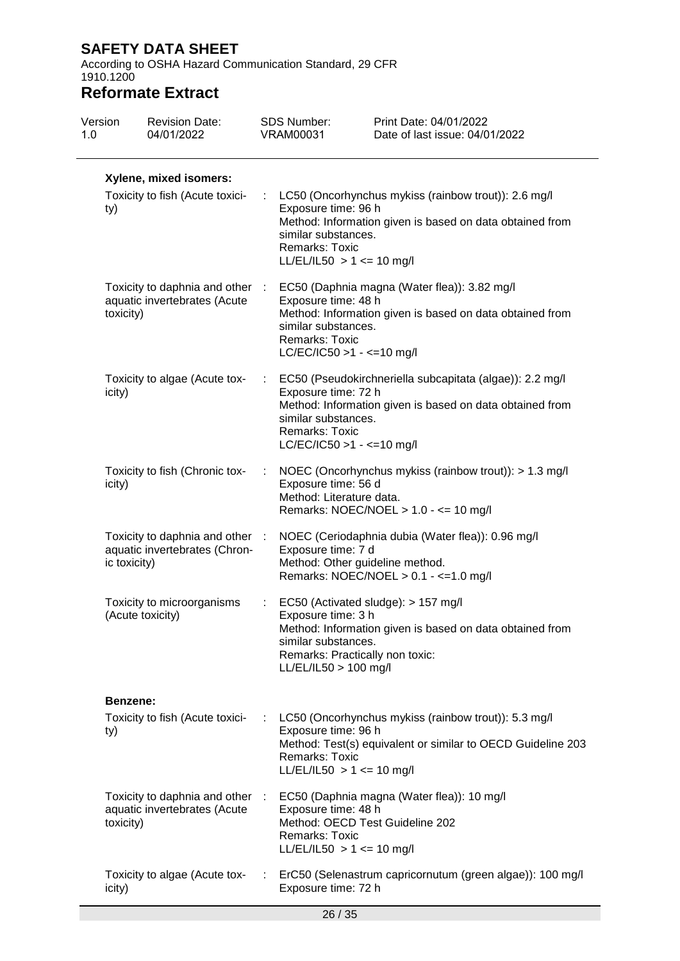According to OSHA Hazard Communication Standard, 29 CFR 1910.1200

| 1.0 | Version                                                          | <b>Revision Date:</b><br>04/01/2022                              |                             | <b>SDS Number:</b><br><b>VRAM00031</b>                                                                | Print Date: 04/01/2022<br>Date of last issue: 04/01/2022                                                             |  |  |
|-----|------------------------------------------------------------------|------------------------------------------------------------------|-----------------------------|-------------------------------------------------------------------------------------------------------|----------------------------------------------------------------------------------------------------------------------|--|--|
|     | Xylene, mixed isomers:<br>Toxicity to fish (Acute toxici-<br>ty) |                                                                  | ÷.                          | Exposure time: 96 h<br>similar substances.<br>Remarks: Toxic<br>LL/EL/IL50 > 1 <= 10 mg/l             | LC50 (Oncorhynchus mykiss (rainbow trout)): 2.6 mg/l<br>Method: Information given is based on data obtained from     |  |  |
|     | toxicity)                                                        | Toxicity to daphnia and other :<br>aquatic invertebrates (Acute  |                             | Exposure time: 48 h<br>similar substances.<br><b>Remarks: Toxic</b><br>$LC/EC/IC50 > 1 - \le 10$ mg/l | EC50 (Daphnia magna (Water flea)): 3.82 mg/l<br>Method: Information given is based on data obtained from             |  |  |
|     | icity)                                                           | Toxicity to algae (Acute tox-                                    | $\mathcal{L}_{\mathcal{A}}$ | Exposure time: 72 h<br>similar substances.<br><b>Remarks: Toxic</b><br>LC/EC/IC50 >1 - <=10 mg/l      | EC50 (Pseudokirchneriella subcapitata (algae)): 2.2 mg/l<br>Method: Information given is based on data obtained from |  |  |
|     | icity)                                                           | Toxicity to fish (Chronic tox-                                   |                             | Exposure time: 56 d<br>Method: Literature data.                                                       | NOEC (Oncorhynchus mykiss (rainbow trout)): > 1.3 mg/l<br>Remarks: NOEC/NOEL $> 1.0 - \le 10$ mg/l                   |  |  |
|     | ic toxicity)                                                     | Toxicity to daphnia and other :<br>aquatic invertebrates (Chron- |                             | Exposure time: 7 d<br>Method: Other guideline method.                                                 | NOEC (Ceriodaphnia dubia (Water flea)): 0.96 mg/l<br>Remarks: NOEC/NOEL > 0.1 - <= 1.0 mg/l                          |  |  |
|     |                                                                  | Toxicity to microorganisms<br>(Acute toxicity)                   |                             | Exposure time: 3 h<br>similar substances.<br>Remarks: Practically non toxic:<br>LL/EL/IL50 > 100 mg/l | EC50 (Activated sludge): > 157 mg/l<br>Method: Information given is based on data obtained from                      |  |  |
|     | Benzene:                                                         |                                                                  |                             |                                                                                                       |                                                                                                                      |  |  |
|     | ty)                                                              | Toxicity to fish (Acute toxici-                                  |                             | Exposure time: 96 h<br>Remarks: Toxic<br>LL/EL/IL50 > 1 <= 10 mg/l                                    | LC50 (Oncorhynchus mykiss (rainbow trout)): 5.3 mg/l<br>Method: Test(s) equivalent or similar to OECD Guideline 203  |  |  |
|     | toxicity)                                                        | Toxicity to daphnia and other :<br>aquatic invertebrates (Acute  |                             | Exposure time: 48 h<br>Method: OECD Test Guideline 202<br>Remarks: Toxic<br>LL/EL/IL50 > 1 <= 10 mg/l | EC50 (Daphnia magna (Water flea)): 10 mg/l                                                                           |  |  |
|     | icity)                                                           | Toxicity to algae (Acute tox-                                    |                             | Exposure time: 72 h                                                                                   | ErC50 (Selenastrum capricornutum (green algae)): 100 mg/l                                                            |  |  |
|     |                                                                  |                                                                  |                             |                                                                                                       |                                                                                                                      |  |  |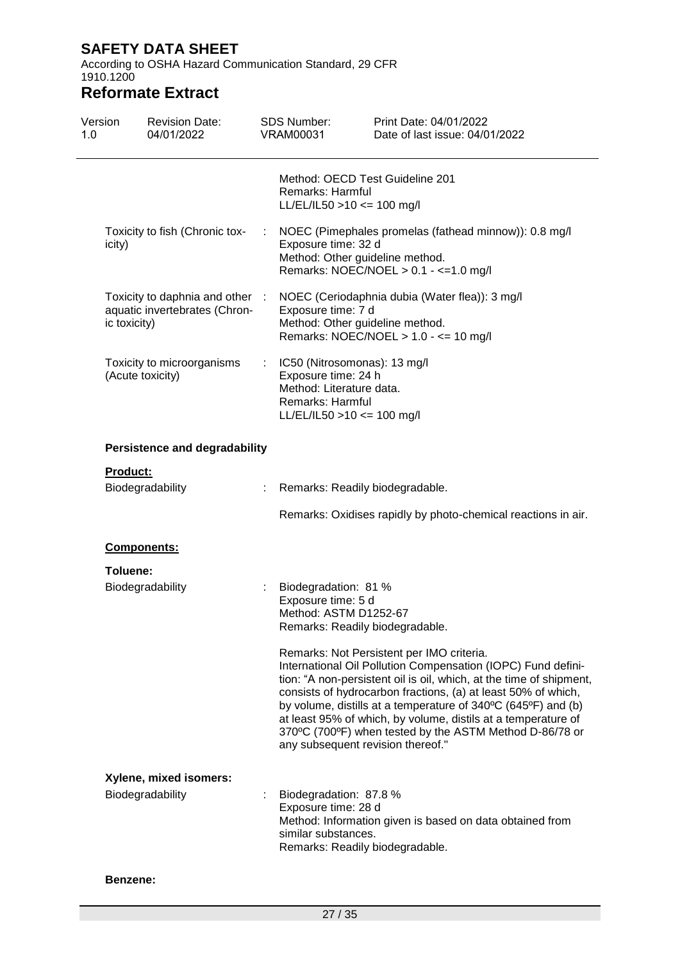According to OSHA Hazard Communication Standard, 29 CFR 1910.1200

# **Reformate Extract**

| Version<br>1.0 |              | <b>Revision Date:</b><br>04/01/2022                              |    | <b>SDS Number:</b><br><b>VRAM00031</b>                                                                                                | Print Date: 04/01/2022<br>Date of last issue: 04/01/2022                                                                                                                                                                                                                                                                                                                                                                                       |
|----------------|--------------|------------------------------------------------------------------|----|---------------------------------------------------------------------------------------------------------------------------------------|------------------------------------------------------------------------------------------------------------------------------------------------------------------------------------------------------------------------------------------------------------------------------------------------------------------------------------------------------------------------------------------------------------------------------------------------|
|                |              |                                                                  |    | Method: OECD Test Guideline 201<br>Remarks: Harmful<br>$LL/EL/IL50 > 10 \le 100$ mg/l                                                 |                                                                                                                                                                                                                                                                                                                                                                                                                                                |
|                | icity)       | Toxicity to fish (Chronic tox-                                   | ÷  | Exposure time: 32 d<br>Method: Other guideline method.                                                                                | NOEC (Pimephales promelas (fathead minnow)): 0.8 mg/l<br>Remarks: NOEC/NOEL $> 0.1 - \le 1.0$ mg/l                                                                                                                                                                                                                                                                                                                                             |
|                | ic toxicity) | Toxicity to daphnia and other :<br>aquatic invertebrates (Chron- |    | Exposure time: 7 d<br>Method: Other guideline method.                                                                                 | NOEC (Ceriodaphnia dubia (Water flea)): 3 mg/l<br>Remarks: NOEC/NOEL > 1.0 - <= 10 mg/l                                                                                                                                                                                                                                                                                                                                                        |
|                |              | Toxicity to microorganisms<br>(Acute toxicity)                   | ÷. | IC50 (Nitrosomonas): 13 mg/l<br>Exposure time: 24 h<br>Method: Literature data.<br>Remarks: Harmful<br>$LL/EL/IL50 > 10 \le 100$ mg/l |                                                                                                                                                                                                                                                                                                                                                                                                                                                |
|                |              | <b>Persistence and degradability</b>                             |    |                                                                                                                                       |                                                                                                                                                                                                                                                                                                                                                                                                                                                |
|                | Product:     |                                                                  |    |                                                                                                                                       |                                                                                                                                                                                                                                                                                                                                                                                                                                                |
|                |              | Biodegradability                                                 |    | Remarks: Readily biodegradable.                                                                                                       |                                                                                                                                                                                                                                                                                                                                                                                                                                                |
|                |              |                                                                  |    |                                                                                                                                       | Remarks: Oxidises rapidly by photo-chemical reactions in air.                                                                                                                                                                                                                                                                                                                                                                                  |
|                | Components:  |                                                                  |    |                                                                                                                                       |                                                                                                                                                                                                                                                                                                                                                                                                                                                |
|                | Toluene:     |                                                                  |    |                                                                                                                                       |                                                                                                                                                                                                                                                                                                                                                                                                                                                |
|                |              | Biodegradability                                                 |    | Biodegradation: 81 %<br>Exposure time: 5 d<br>Method: ASTM D1252-67<br>Remarks: Readily biodegradable.                                |                                                                                                                                                                                                                                                                                                                                                                                                                                                |
|                |              |                                                                  |    | any subsequent revision thereof."                                                                                                     | Remarks: Not Persistent per IMO criteria.<br>International Oil Pollution Compensation (IOPC) Fund defini-<br>tion: "A non-persistent oil is oil, which, at the time of shipment,<br>consists of hydrocarbon fractions, (a) at least 50% of which,<br>by volume, distills at a temperature of 340°C (645°F) and (b)<br>at least 95% of which, by volume, distils at a temperature of<br>370°C (700°F) when tested by the ASTM Method D-86/78 or |
|                |              | Xylene, mixed isomers:                                           |    |                                                                                                                                       |                                                                                                                                                                                                                                                                                                                                                                                                                                                |
|                |              | Biodegradability                                                 |    | Biodegradation: 87.8 %<br>Exposure time: 28 d<br>similar substances.<br>Remarks: Readily biodegradable.                               | Method: Information given is based on data obtained from                                                                                                                                                                                                                                                                                                                                                                                       |

#### **Benzene:**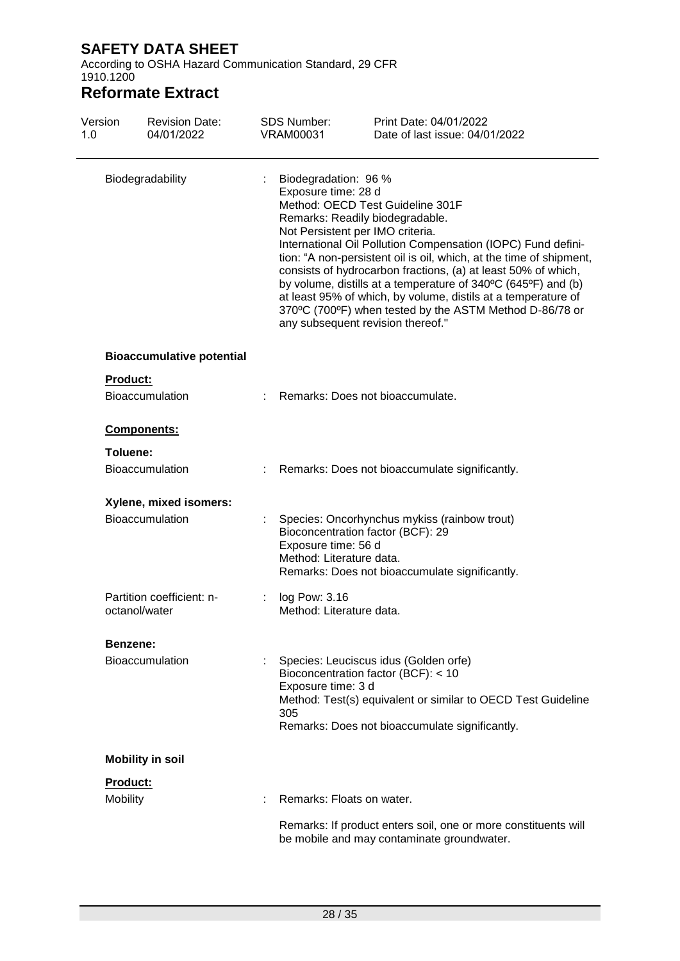According to OSHA Hazard Communication Standard, 29 CFR 1910.1200

| Version<br>1.0  | <b>Revision Date:</b><br>04/01/2022        | <b>SDS Number:</b><br><b>VRAM00031</b>     | Print Date: 04/01/2022<br>Date of last issue: 04/01/2022                                                                                                                                                                                                                                                                                                                                                                                                                                                                                                                  |
|-----------------|--------------------------------------------|--------------------------------------------|---------------------------------------------------------------------------------------------------------------------------------------------------------------------------------------------------------------------------------------------------------------------------------------------------------------------------------------------------------------------------------------------------------------------------------------------------------------------------------------------------------------------------------------------------------------------------|
|                 | Biodegradability                           | Exposure time: 28 d                        | Biodegradation: 96 %<br>Method: OECD Test Guideline 301F<br>Remarks: Readily biodegradable.<br>Not Persistent per IMO criteria.<br>International Oil Pollution Compensation (IOPC) Fund defini-<br>tion: "A non-persistent oil is oil, which, at the time of shipment,<br>consists of hydrocarbon fractions, (a) at least 50% of which,<br>by volume, distills at a temperature of 340°C (645°F) and (b)<br>at least 95% of which, by volume, distils at a temperature of<br>370°C (700°F) when tested by the ASTM Method D-86/78 or<br>any subsequent revision thereof." |
|                 | <b>Bioaccumulative potential</b>           |                                            |                                                                                                                                                                                                                                                                                                                                                                                                                                                                                                                                                                           |
| <b>Product:</b> |                                            |                                            |                                                                                                                                                                                                                                                                                                                                                                                                                                                                                                                                                                           |
|                 | <b>Bioaccumulation</b>                     |                                            | Remarks: Does not bioaccumulate.                                                                                                                                                                                                                                                                                                                                                                                                                                                                                                                                          |
|                 | Components:                                |                                            |                                                                                                                                                                                                                                                                                                                                                                                                                                                                                                                                                                           |
| Toluene:        |                                            |                                            |                                                                                                                                                                                                                                                                                                                                                                                                                                                                                                                                                                           |
|                 | <b>Bioaccumulation</b>                     |                                            | Remarks: Does not bioaccumulate significantly.                                                                                                                                                                                                                                                                                                                                                                                                                                                                                                                            |
|                 | Xylene, mixed isomers:                     |                                            |                                                                                                                                                                                                                                                                                                                                                                                                                                                                                                                                                                           |
|                 | Bioaccumulation                            | Exposure time: 56 d                        | Species: Oncorhynchus mykiss (rainbow trout)<br>Bioconcentration factor (BCF): 29<br>Method: Literature data.<br>Remarks: Does not bioaccumulate significantly.                                                                                                                                                                                                                                                                                                                                                                                                           |
|                 | Partition coefficient: n-<br>octanol/water | log Pow: 3.16<br>$\mathbb{Z}^{\mathbb{Z}}$ | Method: Literature data.                                                                                                                                                                                                                                                                                                                                                                                                                                                                                                                                                  |
| Benzene:        |                                            |                                            |                                                                                                                                                                                                                                                                                                                                                                                                                                                                                                                                                                           |
|                 | <b>Bioaccumulation</b>                     | Exposure time: 3 d<br>305                  | Species: Leuciscus idus (Golden orfe)<br>Bioconcentration factor (BCF): < 10<br>Method: Test(s) equivalent or similar to OECD Test Guideline<br>Remarks: Does not bioaccumulate significantly.                                                                                                                                                                                                                                                                                                                                                                            |
|                 | <b>Mobility in soil</b>                    |                                            |                                                                                                                                                                                                                                                                                                                                                                                                                                                                                                                                                                           |
| Product:        |                                            |                                            |                                                                                                                                                                                                                                                                                                                                                                                                                                                                                                                                                                           |
| Mobility        |                                            |                                            | Remarks: Floats on water.                                                                                                                                                                                                                                                                                                                                                                                                                                                                                                                                                 |
|                 |                                            |                                            | Remarks: If product enters soil, one or more constituents will<br>be mobile and may contaminate groundwater.                                                                                                                                                                                                                                                                                                                                                                                                                                                              |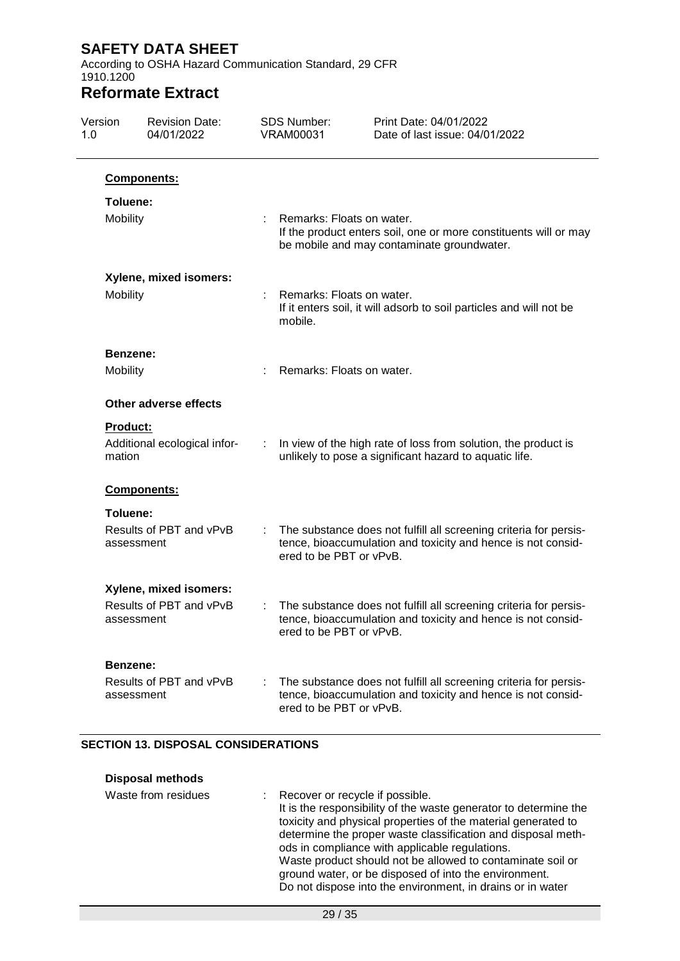According to OSHA Hazard Communication Standard, 29 CFR 1910.1200

## **Reformate Extract**

| Version<br>1.0 |                    | <b>Revision Date:</b><br>04/01/2022 |   | <b>SDS Number:</b><br><b>VRAM00031</b> | Print Date: 04/01/2022<br>Date of last issue: 04/01/2022                                                                          |
|----------------|--------------------|-------------------------------------|---|----------------------------------------|-----------------------------------------------------------------------------------------------------------------------------------|
|                |                    | Components:                         |   |                                        |                                                                                                                                   |
|                | Toluene:           |                                     |   |                                        |                                                                                                                                   |
|                | Mobility           |                                     |   | Remarks: Floats on water.              | If the product enters soil, one or more constituents will or may<br>be mobile and may contaminate groundwater.                    |
|                |                    | Xylene, mixed isomers:              |   |                                        |                                                                                                                                   |
|                | Mobility           |                                     |   | Remarks: Floats on water.<br>mobile.   | If it enters soil, it will adsorb to soil particles and will not be                                                               |
|                | Benzene:           |                                     |   |                                        |                                                                                                                                   |
|                | Mobility           |                                     |   | Remarks: Floats on water.              |                                                                                                                                   |
|                |                    | Other adverse effects               |   |                                        |                                                                                                                                   |
|                | Product:<br>mation | Additional ecological infor-        | ÷ |                                        | In view of the high rate of loss from solution, the product is<br>unlikely to pose a significant hazard to aquatic life.          |
|                |                    | Components:                         |   |                                        |                                                                                                                                   |
|                | Toluene:           |                                     |   |                                        |                                                                                                                                   |
|                | assessment         | Results of PBT and vPvB             |   | ered to be PBT or vPvB.                | The substance does not fulfill all screening criteria for persis-<br>tence, bioaccumulation and toxicity and hence is not consid- |
|                |                    | Xylene, mixed isomers:              |   |                                        |                                                                                                                                   |
|                | assessment         | Results of PBT and vPvB             |   | ered to be PBT or vPvB.                | The substance does not fulfill all screening criteria for persis-<br>tence, bioaccumulation and toxicity and hence is not consid- |
|                | Benzene:           |                                     |   |                                        |                                                                                                                                   |
|                | assessment         | Results of PBT and vPvB             |   | ered to be PBT or vPvB.                | The substance does not fulfill all screening criteria for persis-<br>tence, bioaccumulation and toxicity and hence is not consid- |

#### **SECTION 13. DISPOSAL CONSIDERATIONS**

| <b>Disposal methods</b> |                                                                                                                                                                                                                                                                                                                                                                                                                                                                               |
|-------------------------|-------------------------------------------------------------------------------------------------------------------------------------------------------------------------------------------------------------------------------------------------------------------------------------------------------------------------------------------------------------------------------------------------------------------------------------------------------------------------------|
| Waste from residues     | : Recover or recycle if possible.<br>It is the responsibility of the waste generator to determine the<br>toxicity and physical properties of the material generated to<br>determine the proper waste classification and disposal meth-<br>ods in compliance with applicable regulations.<br>Waste product should not be allowed to contaminate soil or<br>ground water, or be disposed of into the environment.<br>Do not dispose into the environment, in drains or in water |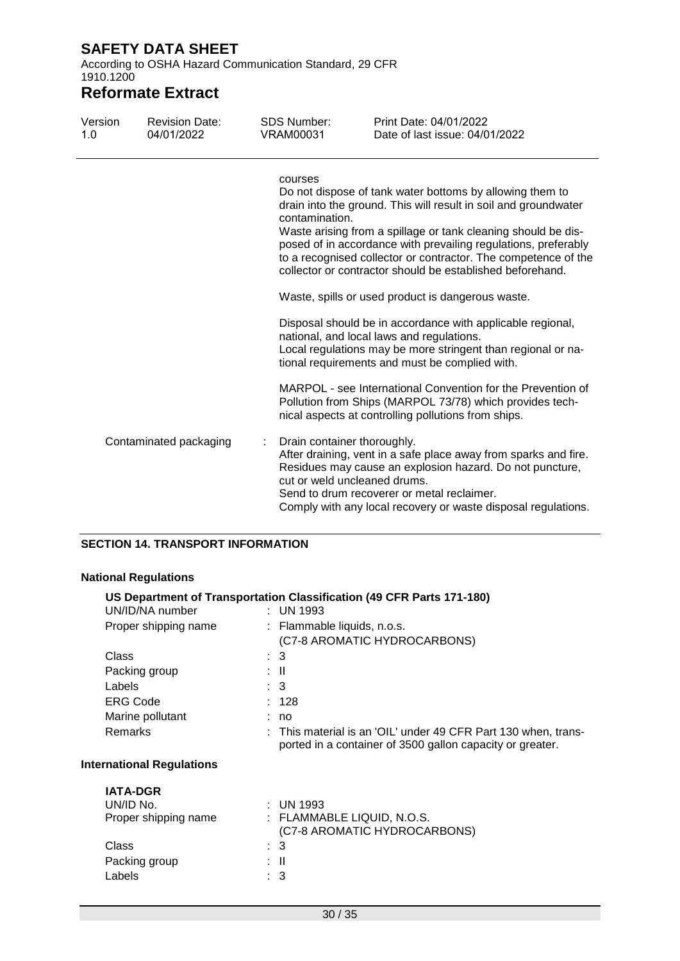According to OSHA Hazard Communication Standard, 29 CFR 1910.1200

# **Reformate Extract**

| Version<br>1.0 | <b>Revision Date:</b><br>04/01/2022 | <b>SDS Number:</b><br>VRAM00031 | Print Date: 04/01/2022<br>Date of last issue: 04/01/2022                                                                                                                                                                                                                                                                                                                                      |
|----------------|-------------------------------------|---------------------------------|-----------------------------------------------------------------------------------------------------------------------------------------------------------------------------------------------------------------------------------------------------------------------------------------------------------------------------------------------------------------------------------------------|
|                |                                     | courses<br>contamination.       | Do not dispose of tank water bottoms by allowing them to<br>drain into the ground. This will result in soil and groundwater<br>Waste arising from a spillage or tank cleaning should be dis-<br>posed of in accordance with prevailing regulations, preferably<br>to a recognised collector or contractor. The competence of the<br>collector or contractor should be established beforehand. |
|                |                                     |                                 | Waste, spills or used product is dangerous waste.                                                                                                                                                                                                                                                                                                                                             |
|                |                                     |                                 | Disposal should be in accordance with applicable regional,<br>national, and local laws and regulations.<br>Local regulations may be more stringent than regional or na-<br>tional requirements and must be complied with.                                                                                                                                                                     |
|                |                                     |                                 | MARPOL - see International Convention for the Prevention of<br>Pollution from Ships (MARPOL 73/78) which provides tech-<br>nical aspects at controlling pollutions from ships.                                                                                                                                                                                                                |
|                | Contaminated packaging              | Drain container thoroughly.     | After draining, vent in a safe place away from sparks and fire.<br>Residues may cause an explosion hazard. Do not puncture,<br>cut or weld uncleaned drums.<br>Send to drum recoverer or metal reclaimer.<br>Comply with any local recovery or waste disposal regulations.                                                                                                                    |

#### **SECTION 14. TRANSPORT INFORMATION**

#### **National Regulations**

|                                  | US Department of Transportation Classification (49 CFR Parts 171-180)                                                       |
|----------------------------------|-----------------------------------------------------------------------------------------------------------------------------|
| UN/ID/NA number                  | : UN 1993                                                                                                                   |
| Proper shipping name             | : Flammable liquids, n.o.s.                                                                                                 |
|                                  | (C7-8 AROMATIC HYDROCARBONS)                                                                                                |
| Class                            | : 3                                                                                                                         |
| Packing group                    | : II                                                                                                                        |
| Labels                           | : 3                                                                                                                         |
| <b>ERG Code</b>                  | : 128                                                                                                                       |
| Marine pollutant                 | : no                                                                                                                        |
| Remarks                          | : This material is an 'OIL' under 49 CFR Part 130 when, trans-<br>ported in a container of 3500 gallon capacity or greater. |
| <b>International Regulations</b> |                                                                                                                             |
| <b>IATA-DGR</b>                  |                                                                                                                             |
| UN/ID No.                        | $:$ UN 1993                                                                                                                 |
| Proper shipping name             | : FLAMMABLE LIQUID, N.O.S.                                                                                                  |
|                                  | (C7-8 AROMATIC HYDROCARBONS)                                                                                                |
| Class                            | : 3                                                                                                                         |
| Packing group                    | : II                                                                                                                        |
| Labels                           | : 3                                                                                                                         |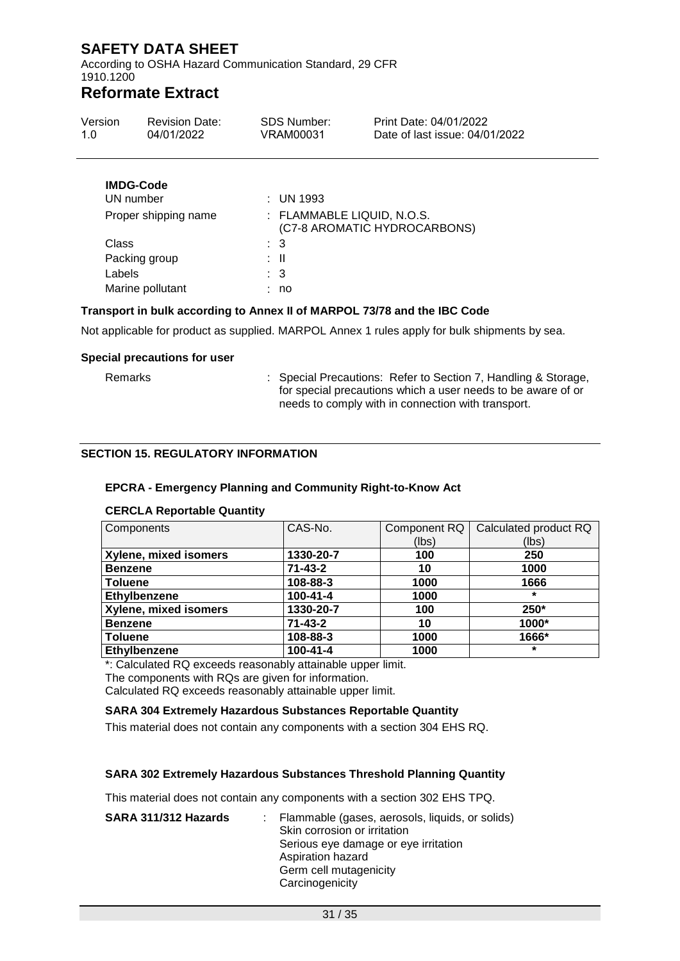According to OSHA Hazard Communication Standard, 29 CFR 1910.1200

## **Reformate Extract**

| Version<br>1.0       | <b>Revision Date:</b><br>04/01/2022 | <b>SDS Number:</b><br>VRAM00031 | Print Date: 04/01/2022<br>Date of last issue: 04/01/2022 |
|----------------------|-------------------------------------|---------------------------------|----------------------------------------------------------|
|                      | <b>IMDG-Code</b><br>UN number       | : UN 1993                       |                                                          |
| Proper shipping name |                                     | : FLAMMABLE LIQUID, N.O.S.      |                                                          |

| <b>Proper Suppling Hame</b> | (C7-8 AROMATIC HYDROCARBONS) |
|-----------------------------|------------------------------|
| Class                       | : 3                          |
| Packing group               | : II                         |
| Labels                      | $\therefore$ 3               |
| Marine pollutant            | : no                         |
|                             |                              |

#### **Transport in bulk according to Annex II of MARPOL 73/78 and the IBC Code**

Not applicable for product as supplied. MARPOL Annex 1 rules apply for bulk shipments by sea.

#### **Special precautions for user**

Remarks : Special Precautions: Refer to Section 7, Handling & Storage, for special precautions which a user needs to be aware of or needs to comply with in connection with transport.

#### **SECTION 15. REGULATORY INFORMATION**

#### **EPCRA - Emergency Planning and Community Right-to-Know Act**

| Components            | CAS-No.        | Component RQ<br>(lbs) | Calculated product RQ<br>(lbs) |
|-----------------------|----------------|-----------------------|--------------------------------|
| Xylene, mixed isomers | 1330-20-7      | 100                   | 250                            |
| <b>Benzene</b>        | $71 - 43 - 2$  | 10                    | 1000                           |
| <b>Toluene</b>        | 108-88-3       | 1000                  | 1666                           |
| Ethylbenzene          | $100 - 41 - 4$ | 1000                  | $\star$                        |
| Xylene, mixed isomers | 1330-20-7      | 100                   | $250*$                         |
| <b>Benzene</b>        | $71 - 43 - 2$  | 10                    | 1000*                          |
| <b>Toluene</b>        | 108-88-3       | 1000                  | 1666*                          |
| Ethylbenzene          | $100 - 41 - 4$ | 1000                  | $\star$                        |

#### **CERCLA Reportable Quantity**

\*: Calculated RQ exceeds reasonably attainable upper limit.

The components with RQs are given for information.

Calculated RQ exceeds reasonably attainable upper limit.

#### **SARA 304 Extremely Hazardous Substances Reportable Quantity**

This material does not contain any components with a section 304 EHS RQ.

#### **SARA 302 Extremely Hazardous Substances Threshold Planning Quantity**

This material does not contain any components with a section 302 EHS TPQ.

| SARA 311/312 Hazards | Flammable (gases, aerosols, liquids, or solids)<br>Skin corrosion or irritation<br>Serious eye damage or eye irritation<br>Aspiration hazard<br>Germ cell mutagenicity<br>Carcinogenicity |
|----------------------|-------------------------------------------------------------------------------------------------------------------------------------------------------------------------------------------|
|                      |                                                                                                                                                                                           |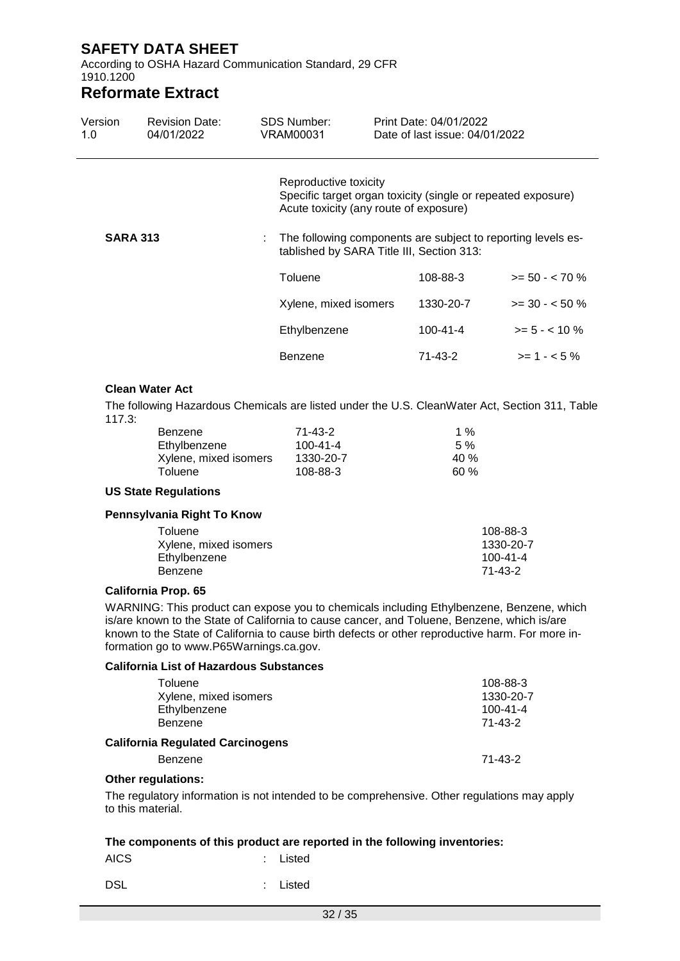According to OSHA Hazard Communication Standard, 29 CFR 1910.1200

### **Reformate Extract**

| Version<br>1.0  | <b>Revision Date:</b><br>04/01/2022 | <b>SDS Number:</b><br>VRAM00031 |                                                                                                           | Print Date: 04/01/2022<br>Date of last issue: 04/01/2022 |                                                              |
|-----------------|-------------------------------------|---------------------------------|-----------------------------------------------------------------------------------------------------------|----------------------------------------------------------|--------------------------------------------------------------|
|                 |                                     |                                 | Reproductive toxicity<br>Acute toxicity (any route of exposure)                                           |                                                          | Specific target organ toxicity (single or repeated exposure) |
| <b>SARA 313</b> |                                     |                                 | The following components are subject to reporting levels es-<br>tablished by SARA Title III, Section 313: |                                                          |                                                              |
|                 |                                     | Toluene                         |                                                                                                           | 108-88-3                                                 | $>= 50 - < 70 \%$                                            |
|                 |                                     |                                 | Xylene, mixed isomers                                                                                     | 1330-20-7                                                | $>=$ 30 - $<$ 50 %                                           |
|                 |                                     | Ethylbenzene                    |                                                                                                           | $100 - 41 - 4$                                           | $>= 5 - < 10 \%$                                             |
|                 |                                     | Benzene                         |                                                                                                           | 71-43-2                                                  | $>= 1 - 5%$                                                  |
|                 |                                     |                                 |                                                                                                           |                                                          |                                                              |

#### **Clean Water Act**

The following Hazardous Chemicals are listed under the U.S. CleanWater Act, Section 311, Table 117.3:

| Benzene               | 71-43-2   | 1 % |
|-----------------------|-----------|-----|
| Ethylbenzene          | 100-41-4  | 5%  |
| Xylene, mixed isomers | 1330-20-7 | 40% |
| Toluene               | 108-88-3  | 60% |

#### **US State Regulations**

#### **Pennsylvania Right To Know**

| Toluene<br>Xylene, mixed isomers | 108-88-3<br>1330-20-7 |
|----------------------------------|-----------------------|
| Ethylbenzene                     | $100 - 41 - 4$        |
| Benzene                          | 71-43-2               |

#### **California Prop. 65**

WARNING: This product can expose you to chemicals including Ethylbenzene, Benzene, which is/are known to the State of California to cause cancer, and Toluene, Benzene, which is/are known to the State of California to cause birth defects or other reproductive harm. For more information go to www.P65Warnings.ca.gov.

#### **California List of Hazardous Substances**

| Toluene                                 | 108-88-3       |
|-----------------------------------------|----------------|
| Xylene, mixed isomers                   | 1330-20-7      |
| Ethylbenzene                            | $100 - 41 - 4$ |
| Benzene                                 | 71-43-2        |
| <b>California Regulated Carcinogens</b> |                |
| <b>Benzene</b>                          | $71 - 43 - 2$  |

#### **Other regulations:**

The regulatory information is not intended to be comprehensive. Other regulations may apply to this material.

#### **The components of this product are reported in the following inventories:**

AICS : Listed

DSL : Listed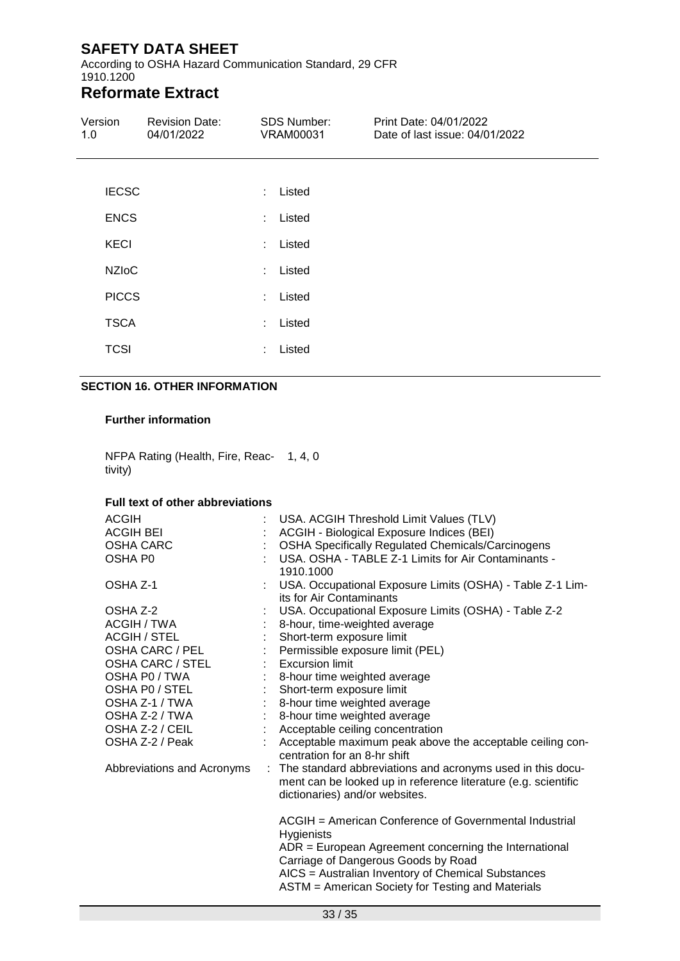According to OSHA Hazard Communication Standard, 29 CFR 1910.1200

# **Reformate Extract**

| Version<br>1.0 | <b>Revision Date:</b><br>04/01/2022 |                | <b>SDS Number:</b><br><b>VRAM00031</b> | Print Date: 04/01/2022<br>Date of last issue: 04/01/2022 |
|----------------|-------------------------------------|----------------|----------------------------------------|----------------------------------------------------------|
|                |                                     |                |                                        |                                                          |
| <b>IECSC</b>   |                                     |                | : Listed                               |                                                          |
| <b>ENCS</b>    |                                     |                | : Listed                               |                                                          |
| <b>KECI</b>    |                                     | ÷.             | Listed                                 |                                                          |
| <b>NZIoC</b>   |                                     |                | : Listed                               |                                                          |
| <b>PICCS</b>   |                                     |                | : Listed                               |                                                          |
| <b>TSCA</b>    |                                     | $\mathbb{R}^n$ | Listed                                 |                                                          |
| <b>TCSI</b>    |                                     | ÷.             | Listed                                 |                                                          |

#### **SECTION 16. OTHER INFORMATION**

#### **Further information**

NFPA Rating (Health, Fire, Reac-1, 4, 0 tivity)

#### **Full text of other abbreviations**

| <b>ACGIH</b><br><b>ACGIH BEI</b><br>OSHA CARC<br>OSHA P <sub>0</sub>                                                            |                           | USA. ACGIH Threshold Limit Values (TLV)<br>ACGIH - Biological Exposure Indices (BEI)<br><b>OSHA Specifically Regulated Chemicals/Carcinogens</b><br>USA, OSHA - TABLE Z-1 Limits for Air Contaminants -<br>1910.1000                                                              |
|---------------------------------------------------------------------------------------------------------------------------------|---------------------------|-----------------------------------------------------------------------------------------------------------------------------------------------------------------------------------------------------------------------------------------------------------------------------------|
| OSHA Z-1                                                                                                                        |                           | USA. Occupational Exposure Limits (OSHA) - Table Z-1 Lim-<br>its for Air Contaminants                                                                                                                                                                                             |
| OSHA Z-2<br><b>ACGIH / TWA</b><br><b>ACGIH / STEL</b><br>OSHA CARC / PEL<br>OSHA CARC / STEL<br>OSHA P0 / TWA<br>OSHA PO / STEL | $\mathbb{R}^{\mathbb{Z}}$ | USA. Occupational Exposure Limits (OSHA) - Table Z-2<br>8-hour, time-weighted average<br>Short-term exposure limit<br>Permissible exposure limit (PEL)<br>: Excursion limit<br>8-hour time weighted average<br>Short-term exposure limit                                          |
| OSHA Z-1 / TWA<br>OSHA Z-2 / TWA<br>OSHA Z-2 / CEIL<br>OSHA Z-2 / Peak                                                          |                           | 8-hour time weighted average<br>8-hour time weighted average<br>Acceptable ceiling concentration<br>Acceptable maximum peak above the acceptable ceiling con-<br>centration for an 8-hr shift                                                                                     |
| Abbreviations and Acronyms                                                                                                      |                           | : The standard abbreviations and acronyms used in this docu-<br>ment can be looked up in reference literature (e.g. scientific<br>dictionaries) and/or websites.                                                                                                                  |
|                                                                                                                                 |                           | ACGIH = American Conference of Governmental Industrial<br>Hygienists<br>$ADR = European Agreement concerning the International$<br>Carriage of Dangerous Goods by Road<br>AICS = Australian Inventory of Chemical Substances<br>ASTM = American Society for Testing and Materials |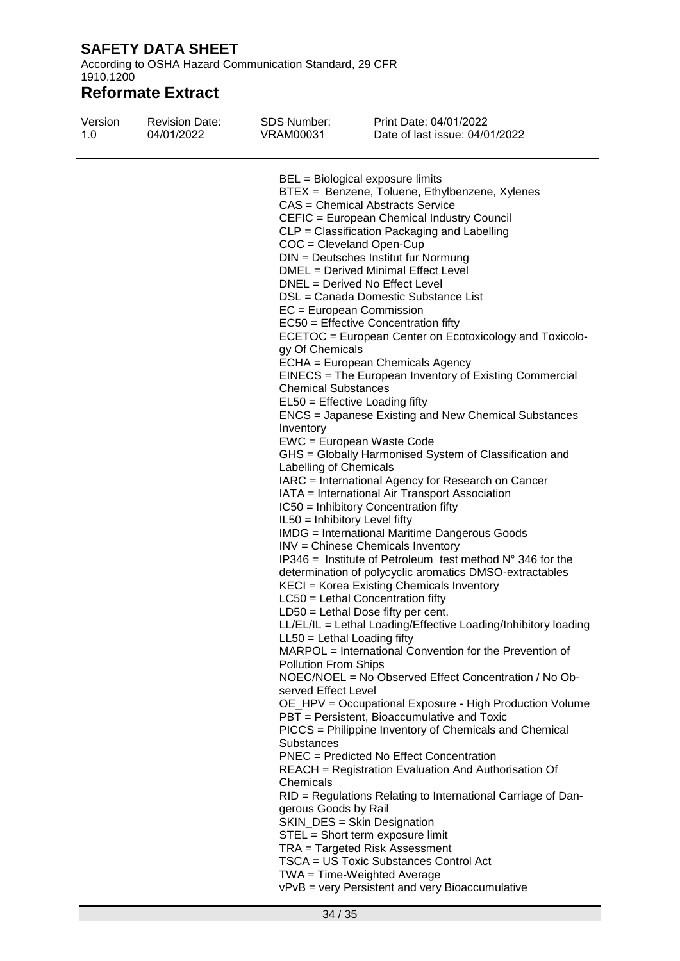According to OSHA Hazard Communication Standard, 29 CFR 1910.1200

| Version<br>1.0 | <b>Revision Date:</b><br>04/01/2022 | SDS Number:<br>VRAM00031      | Print Date: 04/01/2022<br>Date of last issue: 04/01/2022                 |
|----------------|-------------------------------------|-------------------------------|--------------------------------------------------------------------------|
|                |                                     |                               | BEL = Biological exposure limits                                         |
|                |                                     |                               | BTEX = Benzene, Toluene, Ethylbenzene, Xylenes                           |
|                |                                     |                               | <b>CAS = Chemical Abstracts Service</b>                                  |
|                |                                     |                               | CEFIC = European Chemical Industry Council                               |
|                |                                     |                               | CLP = Classification Packaging and Labelling                             |
|                |                                     | $COC = C level$ and Open-Cup  |                                                                          |
|                |                                     |                               | DIN = Deutsches Institut fur Normung                                     |
|                |                                     |                               | DMEL = Derived Minimal Effect Level                                      |
|                |                                     |                               | DNEL = Derived No Effect Level                                           |
|                |                                     |                               | DSL = Canada Domestic Substance List                                     |
|                |                                     | $EC = European Commission$    |                                                                          |
|                |                                     |                               | EC50 = Effective Concentration fifty                                     |
|                |                                     |                               | ECETOC = European Center on Ecotoxicology and Toxicolo-                  |
|                |                                     | gy Of Chemicals               |                                                                          |
|                |                                     |                               | ECHA = European Chemicals Agency                                         |
|                |                                     |                               | EINECS = The European Inventory of Existing Commercial                   |
|                |                                     | <b>Chemical Substances</b>    |                                                                          |
|                |                                     |                               | EL50 = Effective Loading fifty                                           |
|                |                                     |                               | ENCS = Japanese Existing and New Chemical Substances                     |
|                |                                     | Inventory                     |                                                                          |
|                |                                     |                               | EWC = European Waste Code                                                |
|                |                                     |                               | GHS = Globally Harmonised System of Classification and                   |
|                |                                     | Labelling of Chemicals        |                                                                          |
|                |                                     |                               | IARC = International Agency for Research on Cancer                       |
|                |                                     |                               | IATA = International Air Transport Association                           |
|                |                                     |                               | IC50 = Inhibitory Concentration fifty                                    |
|                |                                     | IL50 = Inhibitory Level fifty |                                                                          |
|                |                                     |                               | <b>IMDG</b> = International Maritime Dangerous Goods                     |
|                |                                     |                               | INV = Chinese Chemicals Inventory                                        |
|                |                                     |                               | IP346 = Institute of Petroleum test method $N^{\circ}$ 346 for the       |
|                |                                     |                               | determination of polycyclic aromatics DMSO-extractables                  |
|                |                                     |                               | KECI = Korea Existing Chemicals Inventory                                |
|                |                                     |                               | LC50 = Lethal Concentration fifty                                        |
|                |                                     |                               | $LD50 = Lethal Does fifty per cent.$                                     |
|                |                                     |                               | LL/EL/IL = Lethal Loading/Effective Loading/Inhibitory loading           |
|                |                                     | $LL50 = Lethal$ Loading fifty |                                                                          |
|                |                                     |                               | MARPOL = International Convention for the Prevention of                  |
|                |                                     | <b>Pollution From Ships</b>   |                                                                          |
|                |                                     |                               | NOEC/NOEL = No Observed Effect Concentration / No Ob-                    |
|                |                                     | served Effect Level           |                                                                          |
|                |                                     |                               | OE_HPV = Occupational Exposure - High Production Volume                  |
|                |                                     |                               | PBT = Persistent, Bioaccumulative and Toxic                              |
|                |                                     |                               | PICCS = Philippine Inventory of Chemicals and Chemical                   |
|                |                                     | <b>Substances</b>             |                                                                          |
|                |                                     |                               | PNEC = Predicted No Effect Concentration                                 |
|                |                                     |                               | REACH = Registration Evaluation And Authorisation Of                     |
|                |                                     | Chemicals                     |                                                                          |
|                |                                     |                               | RID = Regulations Relating to International Carriage of Dan-             |
|                |                                     | gerous Goods by Rail          |                                                                          |
|                |                                     |                               | SKIN_DES = Skin Designation                                              |
|                |                                     |                               | STEL = Short term exposure limit                                         |
|                |                                     |                               | TRA = Targeted Risk Assessment<br>TSCA = US Toxic Substances Control Act |
|                |                                     |                               |                                                                          |
|                |                                     |                               | $TWA = Time-Weighted Average$                                            |
|                |                                     |                               | vPvB = very Persistent and very Bioaccumulative                          |